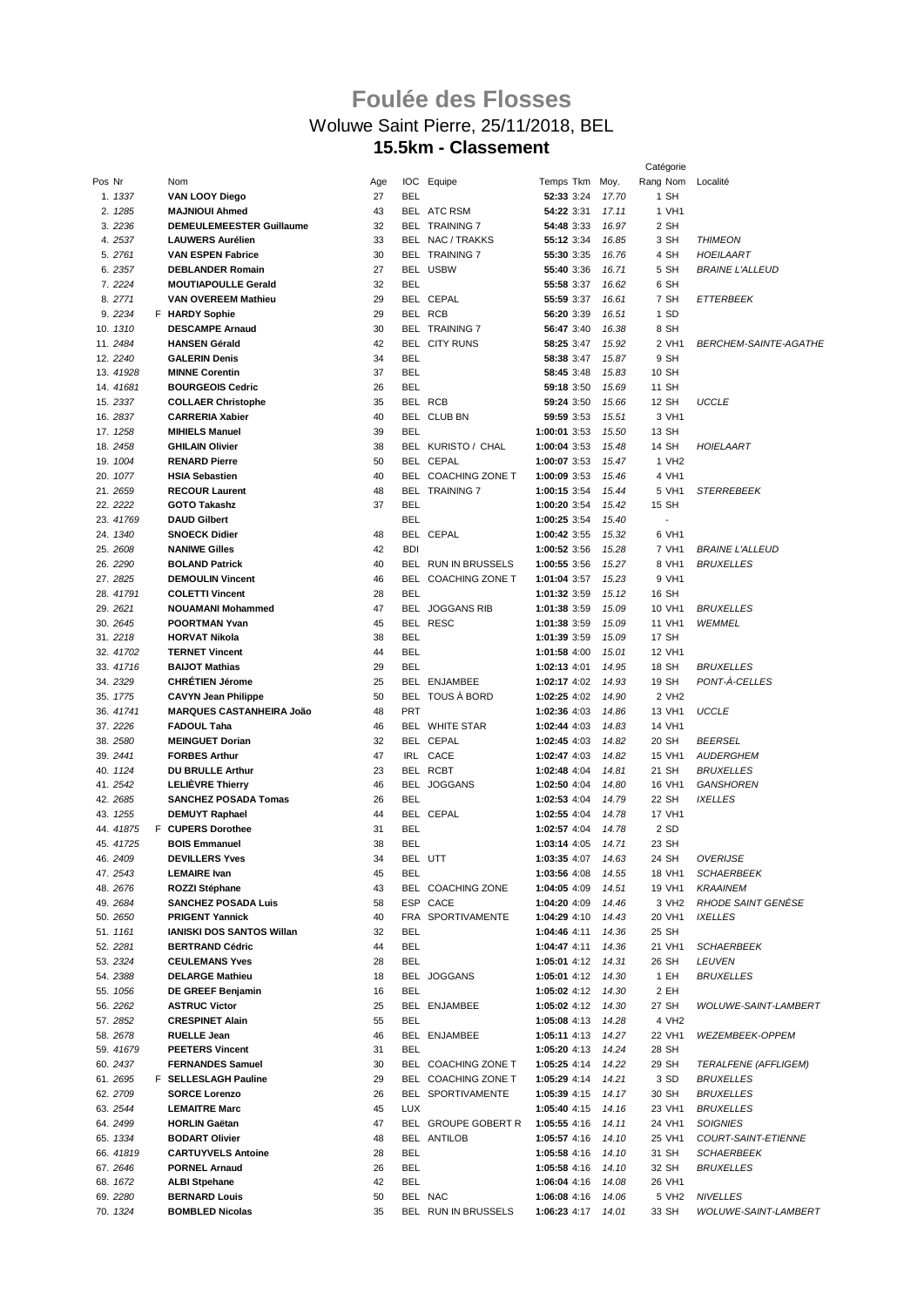## **Foulée des Flosses** Woluwe Saint Pierre, 25/11/2018, BEL **15.5km - Classement**

|           |                                 |     |            |                        |                    |       | Catégorie                |                              |
|-----------|---------------------------------|-----|------------|------------------------|--------------------|-------|--------------------------|------------------------------|
| Pos Nr    | Nom                             | Age |            | IOC Equipe             | Temps Tkm Moy.     |       | Rang Nom                 | Localité                     |
| 1. 1337   | VAN LOOY Diego                  | 27  | <b>BEL</b> |                        | 52:33 3:24         | 17.70 | 1 SH                     |                              |
| 2. 1285   | <b>MAJNIOUI Ahmed</b>           | 43  |            | BEL ATC RSM            | 54:22 3:31         | 17.11 | 1 VH1                    |                              |
| 3. 2236   | DEMEULEMEESTER Guillaume        | 32  |            | <b>BEL TRAINING 7</b>  | 54:48 3:33         | 16.97 | 2 SH                     |                              |
|           |                                 | 33  |            |                        |                    |       |                          |                              |
| 4.2537    | <b>LAUWERS Aurélien</b>         |     |            | BEL NAC / TRAKKS       | 55:12 3:34         | 16.85 | 3 SH                     | <b>THIMEON</b>               |
| 5.2761    | <b>VAN ESPEN Fabrice</b>        | 30  |            | BEL TRAINING 7         | 55:30 3:35         | 16.76 | 4 SH                     | HOEILAART                    |
| 6.2357    | <b>DEBLANDER Romain</b>         | 27  |            | BEL USBW               | 55:40 3:36         | 16.71 | 5 SH                     | <b>BRAINE L'ALLEUD</b>       |
| 7.2224    | <b>MOUTIAPOULLE Gerald</b>      | 32  | <b>BEL</b> |                        | 55:58 3:37         | 16.62 | 6 SH                     |                              |
| 8.2771    | <b>VAN OVEREEM Mathieu</b>      | 29  |            | BEL CEPAL              | 55:59 3:37         | 16.61 | 7 SH                     | ETTERBEEK                    |
| 9.2234    | F HARDY Sophie                  | 29  |            | BEL RCB                | 56:20 3:39         | 16.51 | 1 SD                     |                              |
| 10. 1310  | <b>DESCAMPE Arnaud</b>          | 30  |            | <b>BEL TRAINING 7</b>  | 56:47 3:40         | 16.38 | 8 SH                     |                              |
| 11.2484   | <b>HANSEN Gérald</b>            | 42  |            | <b>BEL CITY RUNS</b>   | 58:25 3:47         | 15.92 | 2 VH1                    | <b>BERCHEM-SAINTE-AGATHE</b> |
| 12.2240   | <b>GALERIN Denis</b>            | 34  | <b>BEL</b> |                        | 58:38 3:47         | 15.87 | 9 SH                     |                              |
|           |                                 |     |            |                        |                    |       |                          |                              |
| 13.41928  | <b>MINNE Corentin</b>           | 37  | <b>BEL</b> |                        | 58:45 3:48         | 15.83 | 10 SH                    |                              |
| 14.41681  | <b>BOURGEOIS Cedric</b>         | 26  | <b>BEL</b> |                        | 59:18 3:50         | 15.69 | 11 SH                    |                              |
| 15.2337   | <b>COLLAER Christophe</b>       | 35  |            | BEL RCB                | 59:24 3:50         | 15.66 | 12 SH                    | <b>UCCLE</b>                 |
| 16.2837   | <b>CARRERIA Xabier</b>          | 40  |            | BEL CLUB BN            | 59:59 3:53         | 15.51 | 3 VH1                    |                              |
| 17. 1258  | <b>MIHIELS Manuel</b>           | 39  | <b>BEL</b> |                        | 1:00:01 3:53       | 15.50 | 13 SH                    |                              |
| 18.2458   | <b>GHILAIN Olivier</b>          | 38  |            | BEL KURISTO / CHAL     | 1:00:04 3:53       | 15.48 | 14 SH                    | HOIELAART                    |
| 19. 1004  | <b>RENARD Pierre</b>            | 50  |            | BEL CEPAL              | 1:00:07 3:53       | 15.47 | 1 VH <sub>2</sub>        |                              |
| 20. 1077  | <b>HSIA Sebastien</b>           | 40  |            | BEL COACHING ZONE T    | 1:00:09 3:53       | 15.46 | 4 VH1                    |                              |
|           |                                 |     |            |                        |                    |       |                          |                              |
| 21.2659   | <b>RECOUR Laurent</b>           | 48  |            | <b>BEL TRAINING 7</b>  | 1:00:15 3:54       | 15.44 | 5 VH1                    | <b>STERREBEEK</b>            |
| 22. 2222  | <b>GOTO Takashz</b>             | 37  | <b>BEL</b> |                        | 1:00:20 3:54       | 15.42 | 15 SH                    |                              |
| 23. 41769 | <b>DAUD Gilbert</b>             |     | <b>BEL</b> |                        | 1:00:25 3:54       | 15.40 | $\overline{\phantom{a}}$ |                              |
| 24. 1340  | <b>SNOECK Didier</b>            | 48  |            | BEL CEPAL              | 1:00:42 3:55       | 15.32 | 6 VH1                    |                              |
| 25. 2608  | <b>NANIWE Gilles</b>            | 42  | <b>BDI</b> |                        | 1:00:52 3:56       | 15.28 | 7 VH1                    | <b>BRAINE L'ALLEUD</b>       |
| 26. 2290  | <b>BOLAND Patrick</b>           | 40  |            | BEL RUN IN BRUSSELS    | 1:00:55 3:56       | 15.27 | 8 VH1                    | <b>BRUXELLES</b>             |
| 27.2825   | <b>DEMOULIN Vincent</b>         | 46  | <b>BEL</b> | <b>COACHING ZONE T</b> | 1:01:04 3:57       | 15.23 | 9 VH1                    |                              |
| 28.41791  | <b>COLETTI Vincent</b>          | 28  | <b>BEL</b> |                        | 1:01:32 3:59       | 15.12 | 16 SH                    |                              |
|           |                                 |     |            |                        |                    |       |                          |                              |
| 29. 2621  | <b>NOUAMANI Mohammed</b>        | 47  | <b>BEL</b> | <b>JOGGANS RIB</b>     | 1:01:38 3:59       | 15.09 | 10 VH1                   | <b>BRUXELLES</b>             |
| 30. 2645  | <b>POORTMAN Yvan</b>            | 45  |            | BEL RESC               | 1:01:38 3:59       | 15.09 | 11 VH1                   | <b>WEMMEL</b>                |
| 31.2218   | <b>HORVAT Nikola</b>            | 38  | <b>BEL</b> |                        | 1:01:39 3:59       | 15.09 | 17 SH                    |                              |
| 32. 41702 | <b>TERNET Vincent</b>           | 44  | <b>BEL</b> |                        | 1:01:58 4:00       | 15.01 | 12 VH1                   |                              |
| 33. 41716 | <b>BAIJOT Mathias</b>           | 29  | <b>BEL</b> |                        | 1:02:13 4:01       | 14.95 | 18 SH                    | <b>BRUXELLES</b>             |
| 34.2329   | <b>CHRÉTIEN Jérome</b>          | 25  |            | BEL ENJAMBEE           | 1:02:17 4:02       | 14.93 | 19 SH                    | PONT-A-CELLES                |
| 35. 1775  | <b>CAVYN Jean Philippe</b>      | 50  |            | BEL TOUS À BORD        | 1:02:25 4:02       | 14.90 | 2 VH <sub>2</sub>        |                              |
| 36. 41741 | <b>MARQUES CASTANHEIRA João</b> | 48  | PRT        |                        | 1:02:36 4:03       | 14.86 | 13 VH1                   | <b>UCCLE</b>                 |
|           |                                 |     |            |                        |                    |       |                          |                              |
| 37.2226   | <b>FADOUL Taha</b>              | 46  |            | BEL WHITE STAR         | 1:02:44 4:03       | 14.83 | 14 VH1                   |                              |
| 38.2580   | <b>MEINGUET Dorian</b>          | 32  |            | BEL CEPAL              | 1:02:45 4:03       | 14.82 | 20 SH                    | <b>BEERSEL</b>               |
| 39.2441   | <b>FORBES Arthur</b>            | 47  |            | IRL CACE               | 1:02:47 4:03       | 14.82 | 15 VH1                   | <b>AUDERGHEM</b>             |
| 40. 1124  | DU BRULLE Arthur                | 23  |            | BEL RCBT               | 1:02:48 4:04       | 14.81 | 21 SH                    | <b>BRUXELLES</b>             |
| 41.2542   | <b>LELIEVRE Thierry</b>         | 46  |            | BEL JOGGANS            | 1:02:50 4:04       | 14.80 | 16 VH1                   | GANSHOREN                    |
| 42. 2685  | <b>SANCHEZ POSADA Tomas</b>     | 26  | <b>BEL</b> |                        | 1:02:53 4:04       | 14.79 | 22 SH                    | <b>IXELLES</b>               |
| 43. 1255  | <b>DEMUYT Raphael</b>           | 44  |            | BEL CEPAL              | 1:02:55 4:04       | 14.78 | 17 VH1                   |                              |
| 44. 41875 | F CUPERS Dorothee               | 31  | <b>BEL</b> |                        | 1:02:57 4:04       | 14.78 | 2 SD                     |                              |
| 45. 41725 | <b>BOIS Emmanuel</b>            | 38  | <b>BEL</b> |                        | 1:03:14 4:05       | 14.71 | 23 SH                    |                              |
| 46.2409   | <b>DEVILLERS Yves</b>           | 34  |            | BEL UTT                | 1:03:35 4:07 14.63 |       | 24 SH                    | <b>OVERIJSE</b>              |
|           |                                 |     |            |                        |                    |       |                          |                              |
| 47.2543   | <b>LEMAIRE</b> Ivan             | 45  | BEL        |                        | 1:03:56 4:08       | 14.55 | 18 VH1                   | SCHAERBEEK                   |
| 48.2676   | ROZZI Stéphane                  | 43  |            | BEL COACHING ZONE      | 1:04:05 4:09       | 14.51 | 19 VH1                   | <b>KRAAINEM</b>              |
| 49.2684   | <b>SANCHEZ POSADA Luis</b>      | 58  |            | ESP CACE               | 1:04:20 4:09       | 14.46 | 3 VH <sub>2</sub>        | RHODE SAINT GENÈSE           |
| 50. 2650  | <b>PRIGENT Yannick</b>          | 40  |            | FRA SPORTIVAMENTE      | 1:04:29 4:10       | 14.43 | 20 VH1                   | <b>IXELLES</b>               |
| 51. 1161  | IANISKI DOS SANTOS Willan       | 32  | BEL        |                        | 1:04:46 4:11       | 14.36 | 25 SH                    |                              |
| 52. 2281  | <b>BERTRAND Cédric</b>          | 44  | BEL        |                        | 1:04:47 4:11       | 14.36 | 21 VH1                   | <b>SCHAERBEEK</b>            |
| 53.2324   | <b>CEULEMANS Yves</b>           | 28  | BEL        |                        | 1:05:01 4:12       | 14.31 | 26 SH                    | <b>LEUVEN</b>                |
| 54.2388   | <b>DELARGE Mathieu</b>          | 18  |            | BEL JOGGANS            | 1:05:01 4:12       | 14.30 | 1 EH                     | <b>BRUXELLES</b>             |
| 55. 1056  | DE GREEF Benjamin               | 16  | <b>BEL</b> |                        | 1:05:02 4:12       | 14.30 | 2 EH                     |                              |
| 56. 2262  | <b>ASTRUC Victor</b>            | 25  |            | BEL ENJAMBEE           | 1:05:02 4:12       | 14.30 | 27 SH                    | WOLUWE-SAINT-LAMBERT         |
|           |                                 |     |            |                        |                    |       |                          |                              |
| 57.2852   | <b>CRESPINET Alain</b>          | 55  | <b>BEL</b> |                        | 1:05:08 4:13       | 14.28 | 4 VH <sub>2</sub>        |                              |
| 58.2678   | <b>RUELLE Jean</b>              | 46  |            | BEL ENJAMBEE           | 1:05:11 4:13       | 14.27 | 22 VH1                   | <b>WEZEMBEEK-OPPEM</b>       |
| 59. 41679 | <b>PEETERS Vincent</b>          | 31  | <b>BEL</b> |                        | 1:05:20 4:13       | 14.24 | 28 SH                    |                              |
| 60. 2437  | <b>FERNANDES Samuel</b>         | 30  |            | BEL COACHING ZONE T    | 1:05:25 4:14       | 14.22 | 29 SH                    | TERALFENE (AFFLIGEM)         |
| 61.2695   | F SELLESLAGH Pauline            | 29  |            | BEL COACHING ZONE T    | 1:05:29 4:14       | 14.21 | 3 SD                     | <b>BRUXELLES</b>             |
| 62.2709   | <b>SORCE Lorenzo</b>            | 26  |            | BEL SPORTIVAMENTE      | 1:05:39 4:15       | 14.17 | 30 SH                    | <b>BRUXELLES</b>             |
| 63. 2544  | <b>LEMAITRE Marc</b>            | 45  | <b>LUX</b> |                        | 1:05:40 4:15       | 14.16 | 23 VH1                   | <b>BRUXELLES</b>             |
| 64.2499   | <b>HORLIN Gaëtan</b>            | 47  |            | BEL GROUPE GOBERT R    | 1:05:55 4:16       | 14.11 | 24 VH1                   | <b>SOIGNIES</b>              |
|           |                                 |     |            |                        |                    |       |                          |                              |
| 65. 1334  | <b>BODART Olivier</b>           | 48  |            | BEL ANTILOB            | 1:05:57 4:16       | 14.10 | 25 VH1                   | COURT-SAINT-ETIENNE          |
| 66. 41819 | <b>CARTUYVELS Antoine</b>       | 28  | BEL        |                        | 1:05:58 4:16       | 14.10 | 31 SH                    | SCHAERBEEK                   |
| 67.2646   | <b>PORNEL Arnaud</b>            | 26  | BEL        |                        | 1:05:58 4:16       | 14.10 | 32 SH                    | <b>BRUXELLES</b>             |
| 68. 1672  | <b>ALBI Stpehane</b>            | 42  | BEL        |                        | 1:06:04 4:16       | 14.08 | 26 VH1                   |                              |
| 69.2280   | <b>BERNARD Louis</b>            | 50  |            | BEL NAC                | 1:06:08 4:16       | 14.06 | 5 VH <sub>2</sub>        | <b>NIVELLES</b>              |
| 70. 1324  | <b>BOMBLED Nicolas</b>          | 35  |            | BEL RUN IN BRUSSELS    | 1:06:23 4:17 14.01 |       | 33 SH                    | WOLUWE-SAINT-LAMBERT         |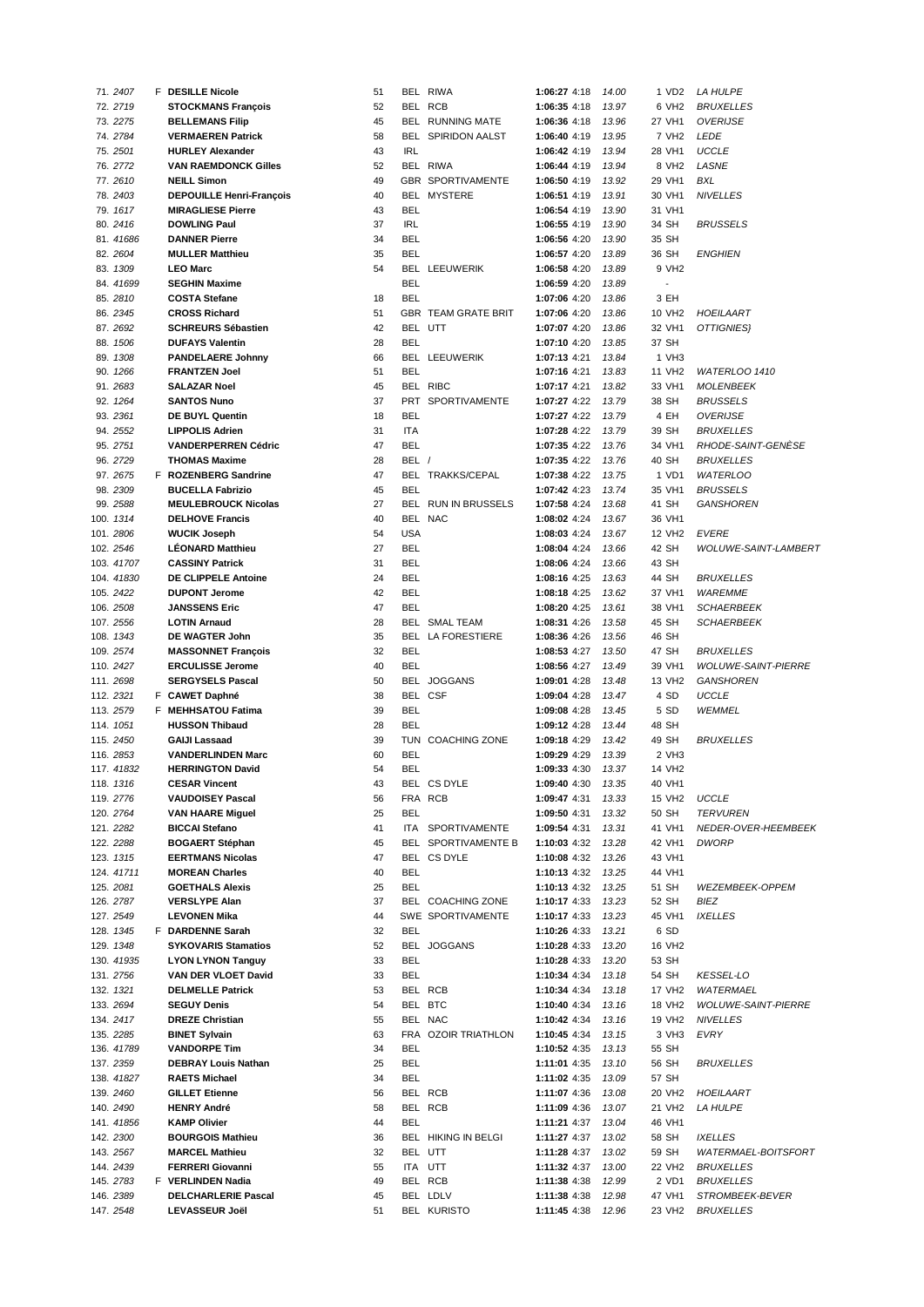| 71. 2407   | <b>F</b> DESILLE Nicole         | 51 |            | BEL RIWA                  | 1:06:27 4:18 | 14.00 | 1 VD2                    | <i>LA HULPE</i>            |
|------------|---------------------------------|----|------------|---------------------------|--------------|-------|--------------------------|----------------------------|
| 72. 2719   | <b>STOCKMANS François</b>       | 52 |            | BEL RCB                   | 1:06:35 4:18 | 13.97 | 6 VH2                    | <b>BRUXELLES</b>           |
| 73. 2275   | <b>BELLEMANS Filip</b>          | 45 |            | BEL RUNNING MATE          | 1:06:36 4:18 | 13.96 | 27 VH1                   | <b>OVERIJSE</b>            |
| 74.2784    | <b>VERMAEREN Patrick</b>        | 58 |            | <b>BEL SPIRIDON AALST</b> | 1:06:40 4:19 | 13.95 | 7 VH <sub>2</sub>        | <b>LEDE</b>                |
|            |                                 |    |            |                           |              |       |                          |                            |
| 75.2501    | <b>HURLEY Alexander</b>         | 43 | <b>IRL</b> |                           | 1:06:42 4:19 | 13.94 | 28 VH1                   | <b>UCCLE</b>               |
| 76.2772    | <b>VAN RAEMDONCK Gilles</b>     | 52 |            | BEL RIWA                  | 1:06:44 4:19 | 13.94 | 8 VH <sub>2</sub>        | LASNE                      |
| 77.2610    | <b>NEILL Simon</b>              | 49 |            | GBR SPORTIVAMENTE         | 1:06:50 4:19 | 13.92 | 29 VH1                   | <b>BXL</b>                 |
| 78.2403    | <b>DEPOUILLE Henri-François</b> | 40 |            | BEL MYSTERE               | 1:06:51 4:19 | 13.91 | 30 VH1                   | <b>NIVELLES</b>            |
| 79. 1617   | <b>MIRAGLIESE Pierre</b>        | 43 | <b>BEL</b> |                           | 1:06:54 4:19 | 13.90 | 31 VH1                   |                            |
| 80. 2416   | <b>DOWLING Paul</b>             | 37 | <b>IRL</b> |                           | 1:06:55 4:19 | 13.90 | 34 SH                    | <b>BRUSSELS</b>            |
|            |                                 |    |            |                           |              |       |                          |                            |
| 81. 41686  | <b>DANNER Pierre</b>            | 34 | <b>BEL</b> |                           | 1:06:56 4:20 | 13.90 | 35 SH                    |                            |
| 82. 2604   | <b>MULLER Matthieu</b>          | 35 | <b>BEL</b> |                           | 1:06:57 4:20 | 13.89 | 36 SH                    | ENGHIEN                    |
| 83. 1309   | <b>LEO Marc</b>                 | 54 |            | BEL LEEUWERIK             | 1:06:58 4:20 | 13.89 | 9 VH2                    |                            |
| 84. 41699  | <b>SEGHIN Maxime</b>            |    | <b>BEL</b> |                           | 1:06:59 4:20 | 13.89 | $\overline{\phantom{a}}$ |                            |
| 85.2810    | <b>COSTA Stefane</b>            | 18 | <b>BEL</b> |                           | 1:07:06 4:20 | 13.86 | 3 EH                     |                            |
| 86.2345    | <b>CROSS Richard</b>            | 51 |            | GBR TEAM GRATE BRIT       | 1:07:06 4:20 | 13.86 | 10 VH <sub>2</sub>       | HOEILAART                  |
|            |                                 |    |            |                           |              |       |                          |                            |
| 87.2692    | <b>SCHREURS Sébastien</b>       | 42 |            | BEL UTT                   | 1:07:07 4:20 | 13.86 | 32 VH1                   | OTTIGNIES}                 |
| 88. 1506   | <b>DUFAYS Valentin</b>          | 28 | <b>BEL</b> |                           | 1:07:10 4:20 | 13.85 | 37 SH                    |                            |
| 89. 1308   | <b>PANDELAERE Johnny</b>        | 66 |            | BEL LEEUWERIK             | 1:07:13 4:21 | 13.84 | 1 VH3                    |                            |
| 90. 1266   | <b>FRANTZEN Joel</b>            | 51 | <b>BEL</b> |                           | 1:07:16 4:21 | 13.83 | 11 VH <sub>2</sub>       | WATERLOO 1410              |
| 91.2683    | <b>SALAZAR Noel</b>             | 45 |            | BEL RIBC                  | 1:07:17 4:21 | 13.82 | 33 VH1                   | <b>MOLENBEEK</b>           |
| 92. 1264   | <b>SANTOS Nuno</b>              | 37 |            | PRT SPORTIVAMENTE         | 1:07:27 4:22 | 13.79 | 38 SH                    | <b>BRUSSELS</b>            |
|            |                                 |    |            |                           |              |       |                          |                            |
| 93.2361    | DE BUYL Quentin                 | 18 | <b>BEL</b> |                           | 1:07:27 4:22 | 13.79 | 4 EH                     | <b>OVERIJSE</b>            |
| 94. 2552   | <b>LIPPOLIS Adrien</b>          | 31 | <b>ITA</b> |                           | 1:07:28 4:22 | 13.79 | 39 SH                    | <i>BRUXELLES</i>           |
| 95.2751    | <b>VANDERPERREN Cédric</b>      | 47 | <b>BEL</b> |                           | 1:07:35 4:22 | 13.76 | 34 VH1                   | RHODE-SAINT-GENESE         |
| 96.2729    | <b>THOMAS Maxime</b>            | 28 | BEL /      |                           | 1:07:35 4:22 | 13.76 | 40 SH                    | <i>BRUXELLES</i>           |
| 97.2675    | F ROZENBERG Sandrine            | 47 |            | BEL TRAKKS/CEPAL          | 1:07:38 4:22 | 13.75 | 1 VD1                    | <b>WATERLOO</b>            |
| 98.2309    | <b>BUCELLA Fabrizio</b>         | 45 | <b>BEL</b> |                           | 1:07:42 4:23 | 13.74 | 35 VH1                   | <b>BRUSSELS</b>            |
|            |                                 |    |            |                           |              |       |                          |                            |
| 99.2588    | <b>MEULEBROUCK Nicolas</b>      | 27 |            | BEL RUN IN BRUSSELS       | 1:07:58 4:24 | 13.68 | 41 SH                    | <b>GANSHOREN</b>           |
| 100. 1314  | <b>DELHOVE Francis</b>          | 40 |            | BEL NAC                   | 1:08:02 4:24 | 13.67 | 36 VH1                   |                            |
| 101.2806   | <b>WUCIK Joseph</b>             | 54 | <b>USA</b> |                           | 1:08:03 4:24 | 13.67 | 12 VH <sub>2</sub>       | <b>EVERE</b>               |
| 102. 2546  | <b>LÉONARD Matthieu</b>         | 27 | <b>BEL</b> |                           | 1:08:04 4:24 | 13.66 | 42 SH                    | WOLUWE-SAINT-LAMBERT       |
| 103. 41707 | <b>CASSINY Patrick</b>          | 31 | <b>BEL</b> |                           | 1:08:06 4:24 | 13.66 | 43 SH                    |                            |
|            | DE CLIPPELE Antoine             | 24 | <b>BEL</b> |                           |              | 13.63 | 44 SH                    |                            |
| 104. 41830 |                                 |    |            |                           | 1:08:16 4:25 |       |                          | <i>BRUXELLES</i>           |
| 105. 2422  | <b>DUPONT Jerome</b>            | 42 | <b>BEL</b> |                           | 1:08:18 4:25 | 13.62 | 37 VH1                   | <b>WAREMME</b>             |
| 106. 2508  | <b>JANSSENS Eric</b>            | 47 | <b>BEL</b> |                           | 1:08:20 4:25 | 13.61 | 38 VH1                   | SCHAERBEEK                 |
| 107. 2556  | <b>LOTIN Arnaud</b>             | 28 |            | BEL SMAL TEAM             | 1:08:31 4:26 | 13.58 | 45 SH                    | SCHAERBEEK                 |
| 108. 1343  | DE WAGTER John                  | 35 |            | BEL LA FORESTIERE         | 1:08:36 4:26 | 13.56 | 46 SH                    |                            |
| 109. 2574  | <b>MASSONNET François</b>       | 32 | <b>BEL</b> |                           | 1:08:53 4:27 | 13.50 | 47 SH                    | <i>BRUXELLES</i>           |
|            |                                 | 40 | <b>BEL</b> |                           | 1:08:56 4:27 | 13.49 | 39 VH1                   |                            |
| 110. 2427  | <b>ERCULISSE Jerome</b>         |    |            |                           |              |       |                          | <b>WOLUWE-SAINT-PIERRE</b> |
| 111. 2698  | <b>SERGYSELS Pascal</b>         | 50 |            | BEL JOGGANS               | 1:09:01 4:28 | 13.48 | 13 VH <sub>2</sub>       | GANSHOREN                  |
| 112. 2321  | F CAWET Daphné                  | 38 |            | BEL CSF                   | 1:09:04 4:28 | 13.47 | 4 SD                     | UCCLE                      |
| 113. 2579  | F MEHHSATOU Fatima              | 39 | <b>BEL</b> |                           | 1:09:08 4:28 | 13.45 | 5 SD                     | <b>WEMMEL</b>              |
| 114. 1051  | <b>HUSSON Thibaud</b>           | 28 | <b>BEL</b> |                           | 1:09:12 4:28 | 13.44 | 48 SH                    |                            |
| 115.2450   | <b>GAIJI Lassaad</b>            | 39 |            | TUN COACHING ZONE         | 1:09:18 4:29 | 13.42 | 49 SH                    | <b>BRUXELLES</b>           |
| 116. 2853  | <b>VANDERLINDEN Marc</b>        | 60 | <b>BEL</b> |                           |              |       | 2 VH3                    |                            |
|            |                                 |    |            |                           | 1:09:29 4:29 | 13.39 |                          |                            |
| 117. 41832 | <b>HERRINGTON David</b>         | 54 | <b>BEL</b> |                           | 1:09:33 4:30 | 13.37 | 14 VH2                   |                            |
| 118. 1316  | <b>CESAR Vincent</b>            | 43 |            | BEL CS DYLE               | 1:09:40 4:30 | 13.35 | 40 VH1                   |                            |
| 119. 2776  | <b>VAUDOISEY Pascal</b>         | 56 |            | FRA RCB                   | 1:09:47 4:31 | 13.33 | 15 VH <sub>2</sub>       | <b>UCCLE</b>               |
| 120. 2764  | <b>VAN HAARE Miguel</b>         | 25 | <b>BEL</b> |                           | 1:09:50 4:31 | 13.32 | 50 SH                    | <b>TERVUREN</b>            |
| 121. 2282  | <b>BICCAI Stefano</b>           | 41 |            | ITA SPORTIVAMENTE         | 1:09:54 4:31 | 13.31 | 41 VH1                   | NEDER-OVER-HEEMBEEK        |
|            |                                 |    |            |                           |              |       |                          |                            |
| 122. 2288  | <b>BOGAERT Stéphan</b>          | 45 |            | BEL SPORTIVAMENTE B       | 1:10:03 4:32 | 13.28 | 42 VH1                   | DWORP                      |
| 123. 1315  | <b>EERTMANS Nicolas</b>         | 47 |            | BEL CS DYLE               | 1:10:08 4:32 | 13.26 | 43 VH1                   |                            |
| 124. 41711 | <b>MOREAN Charles</b>           | 40 | BEL        |                           | 1:10:13 4:32 | 13.25 | 44 VH1                   |                            |
| 125. 2081  | <b>GOETHALS Alexis</b>          | 25 | <b>BEL</b> |                           | 1:10:13 4:32 | 13.25 | 51 SH                    | WEZEMBEEK-OPPEM            |
| 126. 2787  | <b>VERSLYPE Alan</b>            | 37 |            | BEL COACHING ZONE         | 1:10:17 4:33 | 13.23 | 52 SH                    | BIEZ                       |
| 127. 2549  | <b>LEVONEN Mika</b>             | 44 |            | SWE SPORTIVAMENTE         | 1:10:17 4:33 | 13.23 | 45 VH1                   | <b>IXELLES</b>             |
| 128. 1345  | F DARDENNE Sarah                | 32 | <b>BEL</b> |                           | 1:10:26 4:33 | 13.21 | 6 SD                     |                            |
|            |                                 |    |            |                           |              |       |                          |                            |
| 129. 1348  | <b>SYKOVARIS Stamatios</b>      | 52 |            | BEL JOGGANS               | 1:10:28 4:33 | 13.20 | 16 VH2                   |                            |
| 130. 41935 | <b>LYON LYNON Tanguy</b>        | 33 | <b>BEL</b> |                           | 1:10:28 4:33 | 13.20 | 53 SH                    |                            |
| 131. 2756  | VAN DER VLOET David             | 33 | <b>BEL</b> |                           | 1:10:34 4:34 | 13.18 | 54 SH                    | KESSEL-LO                  |
| 132. 1321  | <b>DELMELLE Patrick</b>         | 53 |            | BEL RCB                   | 1:10:34 4:34 | 13.18 | 17 VH <sub>2</sub>       | WATERMAEL                  |
| 133. 2694  | <b>SEGUY Denis</b>              | 54 |            | BEL BTC                   | 1:10:40 4:34 | 13.16 | 18 VH2                   | <b>WOLUWE-SAINT-PIERRE</b> |
| 134. 2417  | <b>DREZE Christian</b>          | 55 |            | BEL NAC                   | 1:10:42 4:34 | 13.16 | 19 VH <sub>2</sub>       | <b>NIVELLES</b>            |
|            |                                 |    |            |                           |              |       |                          |                            |
| 135. 2285  | <b>BINET Sylvain</b>            | 63 |            | FRA OZOIR TRIATHLON       | 1:10:45 4:34 | 13.15 | 3 VH3                    | EVRY                       |
| 136. 41789 | <b>VANDORPE Tim</b>             | 34 | BEL        |                           | 1:10:52 4:35 | 13.13 | 55 SH                    |                            |
| 137. 2359  | <b>DEBRAY Louis Nathan</b>      | 25 | <b>BEL</b> |                           | 1:11:01 4:35 | 13.10 | 56 SH                    | <i>BRUXELLES</i>           |
| 138. 41827 | <b>RAETS Michael</b>            | 34 | <b>BEL</b> |                           | 1:11:02 4:35 | 13.09 | 57 SH                    |                            |
| 139. 2460  | <b>GILLET Etienne</b>           | 56 |            | BEL RCB                   | 1:11:07 4:36 | 13.08 | 20 VH2                   | HOEILAART                  |
| 140. 2490  | <b>HENRY André</b>              | 58 |            | BEL RCB                   | 1:11:09 4:36 | 13.07 | 21 VH2                   | <b>LA HULPE</b>            |
|            |                                 |    |            |                           |              |       |                          |                            |
| 141. 41856 | <b>KAMP Olivier</b>             | 44 | BEL        |                           | 1:11:21 4:37 | 13.04 | 46 VH1                   |                            |
| 142. 2300  | <b>BOURGOIS Mathieu</b>         | 36 |            | BEL HIKING IN BELGI       | 1:11:27 4:37 | 13.02 | 58 SH                    | <b>IXELLES</b>             |
| 143. 2567  | <b>MARCEL Mathieu</b>           | 32 |            | BEL UTT                   | 1:11:28 4:37 | 13.02 | 59 SH                    | <b>WATERMAEL-BOITSFORT</b> |
| 144. 2439  | <b>FERRERI Giovanni</b>         | 55 |            | ITA UTT                   | 1:11:32 4:37 | 13.00 | 22 VH2                   | <b>BRUXELLES</b>           |
| 145. 2783  | F VERLINDEN Nadia               | 49 |            | BEL RCB                   | 1:11:38 4:38 | 12.99 | 2 VD1                    | <b>BRUXELLES</b>           |
| 146. 2389  | <b>DELCHARLERIE Pascal</b>      | 45 |            | BEL LDLV                  | 1:11:38 4:38 | 12.98 | 47 VH1                   | <i>STROMBEEK-BEVER</i>     |
|            |                                 |    |            |                           |              |       |                          |                            |
| 147. 2548  | LEVASSEUR Joël                  | 51 |            | <b>BEL KURISTO</b>        | 1:11:45 4:38 | 12.96 | 23 VH2                   | <b>BRUXELLES</b>           |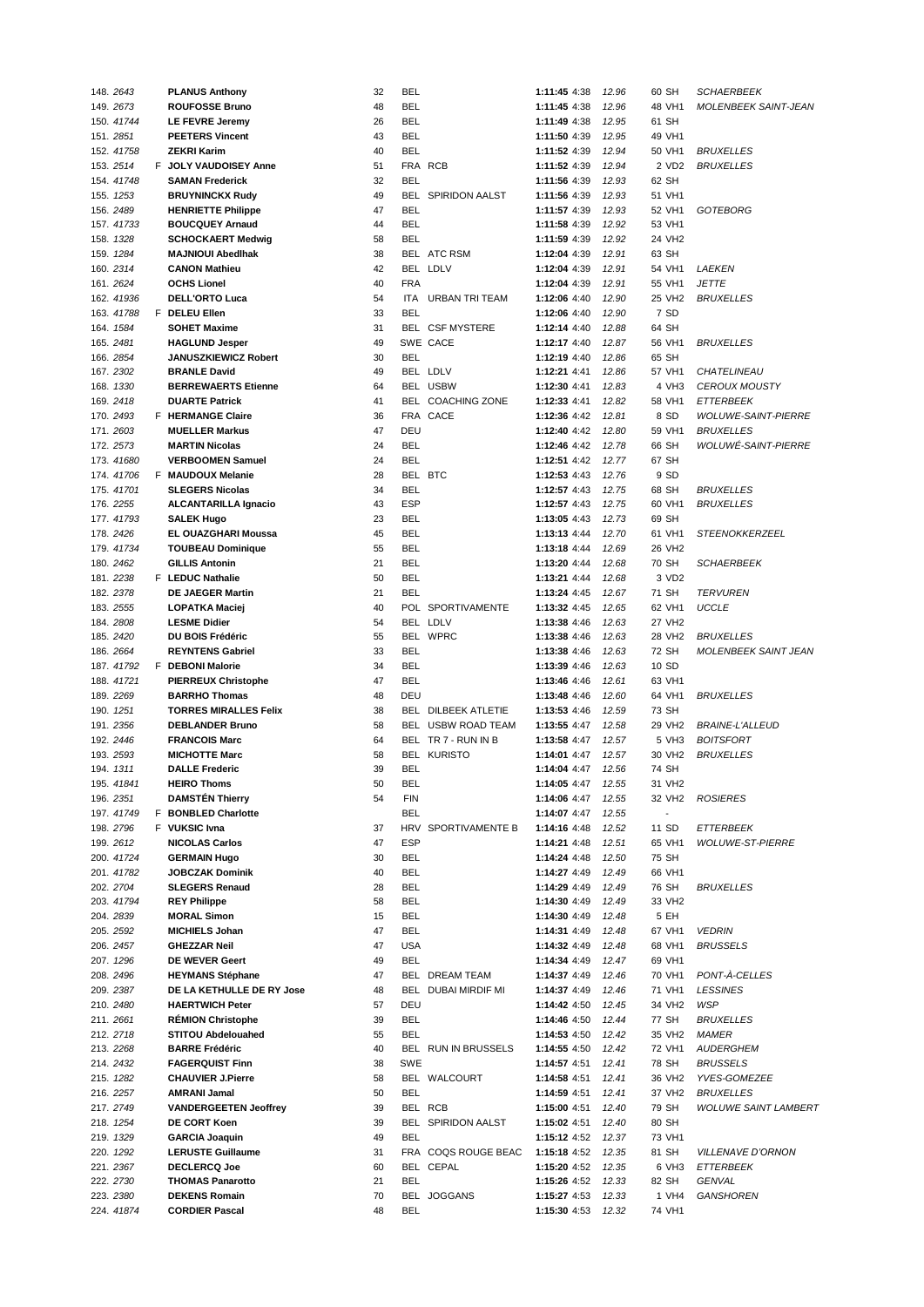| 148. 2643               | <b>PLANUS Anthony</b>                         | 32       | BEL        |                           | 1:11:45 4:38                 | 12.96          | 60 SH              | <b>SCHAERBEEK</b>           |
|-------------------------|-----------------------------------------------|----------|------------|---------------------------|------------------------------|----------------|--------------------|-----------------------------|
| 149. 2673               | <b>ROUFOSSE Bruno</b>                         | 48       | <b>BEL</b> |                           | 1:11:45 4:38                 | 12.96          | 48 VH1             | <b>MOLENBEEK SAINT-JEAN</b> |
| 150. 41744              | LE FEVRE Jeremy                               | 26       | <b>BEL</b> |                           | 1:11:49 4:38                 | 12.95          | 61 SH              |                             |
| 151. 2851               | <b>PEETERS Vincent</b>                        | 43       | <b>BEL</b> |                           | 1:11:50 4:39                 | 12.95          | 49 VH1             |                             |
| 152. 41758              | <b>ZEKRI Karim</b>                            | 40       | <b>BEL</b> |                           | 1:11:52 4:39                 | 12.94          | 50 VH1             | <b>BRUXELLES</b>            |
| 153. 2514               | F JOLY VAUDOISEY Anne                         | 51       |            | FRA RCB                   | 1:11:52 4:39                 | 12.94          | 2 VD2              | <b>BRUXELLES</b>            |
| 154. 41748              | <b>SAMAN Frederick</b>                        | 32       | <b>BEL</b> |                           | 1:11:56 4:39                 | 12.93          | 62 SH              |                             |
| 155. 1253               | <b>BRUYNINCKX Rudy</b>                        | 49       |            | <b>BEL SPIRIDON AALST</b> | 1:11:56 4:39                 | 12.93          | 51 VH1             |                             |
|                         |                                               |          |            |                           |                              |                |                    |                             |
| 156.2489                | <b>HENRIETTE Philippe</b>                     | 47       | <b>BEL</b> |                           | 1:11:57 4:39                 | 12.93          | 52 VH1             | GOTEBORG                    |
| 157. 41733              | <b>BOUCQUEY Arnaud</b>                        | 44       | <b>BEL</b> |                           | 1:11:58 4:39                 | 12.92          | 53 VH1             |                             |
| 158. 1328               | <b>SCHOCKAERT Medwig</b>                      | 58       | <b>BEL</b> |                           | 1:11:59 4:39                 | 12.92          | 24 VH <sub>2</sub> |                             |
| 159. 1284               | <b>MAJNIOUI Abedihak</b>                      | 38       |            | BEL ATC RSM               | 1:12:04 4:39                 | 12.91          | 63 SH              |                             |
| 160. 2314               | <b>CANON Mathieu</b>                          | 42       |            | BEL LDLV                  | 1:12:04 4:39                 | 12.91          | 54 VH1             | LAEKEN                      |
| 161. 2624               | <b>OCHS Lionel</b>                            | 40       | <b>FRA</b> |                           | 1:12:04 4:39                 | 12.91          | 55 VH1             | <b>JETTE</b>                |
| 162. 41936              | <b>DELL'ORTO Luca</b>                         | 54       | ITA        | <b>URBAN TRI TEAM</b>     | 1:12:06 4:40                 | 12.90          | 25 VH2             | <b>BRUXELLES</b>            |
| 163. 41788              | F DELEU Ellen                                 | 33       | <b>BEL</b> |                           | 1:12:06 4:40                 | 12.90          | 7 SD               |                             |
| 164. 1584               | <b>SOHET Maxime</b>                           | 31       |            | BEL CSF MYSTERE           | 1:12:14 4:40                 | 12.88          | 64 SH              |                             |
| 165. 2481               | <b>HAGLUND Jesper</b>                         | 49       |            | SWE CACE                  | 1:12:17 4:40                 | 12.87          | 56 VH1             | <b>BRUXELLES</b>            |
| 166. 2854               | <b>JANUSZKIEWICZ Robert</b>                   | 30       | <b>BEL</b> |                           | 1:12:19 4:40                 | 12.86          | 65 SH              |                             |
|                         |                                               |          |            |                           |                              |                |                    |                             |
| 167.2302                | <b>BRANLE David</b>                           | 49       |            | BEL LDLV                  | 1:12:21 4:41                 | 12.86          | 57 VH1             | CHATELINEAU                 |
| 168. 1330               | <b>BERREWAERTS Etienne</b>                    | 64       |            | BEL USBW                  | 1:12:30 4:41                 | 12.83          | 4 VH3              | <b>CEROUX MOUSTY</b>        |
| 169. 2418               | <b>DUARTE Patrick</b>                         | 41       |            | BEL COACHING ZONE         | 1:12:33 4:41                 | 12.82          | 58 VH1             | <b>ETTERBEEK</b>            |
| 170. 2493               | F HERMANGE Claire                             | 36       |            | FRA CACE                  | 1:12:36 4:42                 | 12.81          | 8 SD               | <b>WOLUWE-SAINT-PIERRE</b>  |
| 171. 2603               | <b>MUELLER Markus</b>                         | 47       | DEU        |                           | 1:12:40 4:42                 | 12.80          | 59 VH1             | <b>BRUXELLES</b>            |
| 172. 2573               | <b>MARTIN Nicolas</b>                         | 24       | <b>BEL</b> |                           | 1:12:46 4:42                 | 12.78          | 66 SH              | <i>WOLUWĖ-SAINT-PIERRE</i>  |
| 173.41680               | <b>VERBOOMEN Samuel</b>                       | 24       | <b>BEL</b> |                           | 1:12:51 4:42                 | 12.77          | 67 SH              |                             |
| 174.41706               | F MAUDOUX Melanie                             | 28       |            | BEL BTC                   | 1:12:53 4:43                 | 12.76          | 9 SD               |                             |
| 175. 41701              | <b>SLEGERS Nicolas</b>                        | 34       | <b>BEL</b> |                           | 1:12:57 4:43                 | 12.75          | 68 SH              | <b>BRUXELLES</b>            |
| 176. 2255               | <b>ALCANTARILLA Ignacio</b>                   | 43       | <b>ESP</b> |                           | 1:12:57 4:43                 | 12.75          | 60 VH1             | <b>BRUXELLES</b>            |
| 177. 41793              | <b>SALEK Hugo</b>                             | 23       | <b>BEL</b> |                           | 1:13:05 4:43                 | 12.73          | 69 SH              |                             |
|                         |                                               |          |            |                           |                              |                |                    |                             |
| 178. 2426               | EL OUAZGHARI Moussa                           | 45       | <b>BEL</b> |                           | 1:13:13 4:44                 | 12.70          | 61 VH1             | <b>STEENOKKERZEEL</b>       |
| 179. 41734              | <b>TOUBEAU Dominique</b>                      | 55       | <b>BEL</b> |                           | 1:13:18 4:44                 | 12.69          | 26 VH2             |                             |
| 180. 2462               | <b>GILLIS Antonin</b>                         | 21       | <b>BEL</b> |                           | 1:13:20 4:44                 | 12.68          | 70 SH              | <b>SCHAERBEEK</b>           |
| 181. 2238               | F LEDUC Nathalie                              | 50       | <b>BEL</b> |                           | 1:13:21 4:44                 | 12.68          | 3 VD2              |                             |
| 182. 2378               | <b>DE JAEGER Martin</b>                       | 21       | <b>BEL</b> |                           | 1:13:24 4:45                 | 12.67          | 71 SH              | <b>TERVUREN</b>             |
| 183. 2555               | <b>LOPATKA Maciej</b>                         | 40       |            | POL SPORTIVAMENTE         | 1:13:32 4:45                 | 12.65          | 62 VH1             | <b>UCCLE</b>                |
| 184. 2808               | <b>LESME Didier</b>                           | 54       |            | BEL LDLV                  | 1:13:38 4:46                 | 12.63          | 27 VH2             |                             |
| 185. 2420               | DU BOIS Frédéric                              | 55       |            | BEL WPRC                  | 1:13:38 4:46                 | 12.63          | 28 VH <sub>2</sub> | <b>BRUXELLES</b>            |
| 186. 2664               | <b>REYNTENS Gabriel</b>                       | 33       | <b>BEL</b> |                           | 1:13:38 4:46                 | 12.63          | 72 SH              | <b>MOLENBEEK SAINT JEAN</b> |
| 187. 41792              | F DEBONI Malorie                              | 34       | <b>BEL</b> |                           | 1:13:39 4:46                 | 12.63          | 10 SD              |                             |
| 188. 41721              | <b>PIERREUX Christophe</b>                    | 47       | <b>BEL</b> |                           | 1:13:46 4:46                 | 12.61          | 63 VH1             |                             |
|                         |                                               |          |            |                           |                              |                |                    |                             |
| 189. 2269               | <b>BARRHO Thomas</b>                          | 48       | DEU        |                           | 1:13:48 4:46                 | 12.60          | 64 VH1             | <b>BRUXELLES</b>            |
| 190. 1251               | <b>TORRES MIRALLES Felix</b>                  | 38       |            | BEL DILBEEK ATLETIE       | 1:13:53 4:46                 | 12.59          | 73 SH              |                             |
| 191. 2356               | <b>DEBLANDER Bruno</b>                        | 58       |            | BEL USBW ROAD TEAM        | 1:13:55 4:47                 | 12.58          | 29 VH <sub>2</sub> | <b>BRAINE-L'ALLEUD</b>      |
| 192. 2446               | <b>FRANCOIS Marc</b>                          | 64       |            | BEL TR 7 - RUN IN B       | 1:13:58 4:47                 | 12.57          | 5 VH3              | <b>BOITSFORT</b>            |
| 193. 2593               | <b>MICHOTTE Marc</b>                          | 58       |            | <b>BEL KURISTO</b>        | 1:14:01 4:47                 | 12.57          | 30 VH2             | <b>BRUXELLES</b>            |
| 194. 1311               | <b>DALLE Frederic</b>                         | 39       | <b>BEL</b> |                           | 1:14:04 4:47                 | 12.56          | 74 SH              |                             |
| 195. 41841              | <b>HEIRO Thoms</b>                            | 50       | <b>BEL</b> |                           | 1:14:05 4:47 12.55           |                | 31 VH2             |                             |
| 196. 2351               | <b>DAMSTEN Thierry</b>                        | 54       | FIN        |                           | 1:14:06 4:47                 | 12.55          | 32 VH2             | <b>ROSIERES</b>             |
| 197. 41749              | F BONBLED Charlotte                           |          | <b>BEL</b> |                           | 1:14:07 4:47                 | 12.55          |                    |                             |
| 198. 2796               | F VUKSIC Ivna                                 | 37       |            | HRV SPORTIVAMENTE B       | 1:14:16 4:48                 | 12.52          | 11 SD              | ETTERBEEK                   |
| 199. 2612               | <b>NICOLAS Carlos</b>                         | 47       | <b>ESP</b> |                           | 1:14:21 4:48                 | 12.51          | 65 VH1             | <b>WOLUWE-ST-PIERRE</b>     |
|                         |                                               | 30       | BEL        |                           |                              | 12.50          |                    |                             |
| 200. 41724              | <b>GERMAIN Hugo</b>                           |          |            |                           | 1:14:24 4:48                 |                | 75 SH              |                             |
| 201. 41782              | <b>JOBCZAK Dominik</b>                        | 40       | <b>BEL</b> |                           | 1:14:27 4:49                 | 12.49          | 66 VH1             |                             |
| 202. 2704               | <b>SLEGERS Renaud</b>                         | 28       | <b>BEL</b> |                           | 1:14:29 4:49                 | 12.49          | 76 SH              | <b>BRUXELLES</b>            |
| 203. 41794              | <b>REY Philippe</b>                           | 58       | <b>BEL</b> |                           | 1:14:30 4:49                 | 12.49          | 33 VH2             |                             |
| 204. 2839               | <b>MORAL Simon</b>                            | 15       | <b>BEL</b> |                           | 1:14:30 4:49                 | 12.48          | 5 EH               |                             |
| 205. 2592               | <b>MICHIELS Johan</b>                         | 47       | <b>BEL</b> |                           | 1:14:31 4:49                 | 12.48          | 67 VH1             | <b>VEDRIN</b>               |
| 206. 2457               | <b>GHEZZAR Neil</b>                           | 47       | <b>USA</b> |                           | 1:14:32 4:49                 | 12.48          | 68 VH1             | <b>BRUSSELS</b>             |
| 207. 1296               | <b>DE WEVER Geert</b>                         | 49       | <b>BEL</b> |                           | 1:14:34 4:49                 | 12.47          | 69 VH1             |                             |
| 208. 2496               | <b>HEYMANS Stéphane</b>                       | 47       |            | BEL DREAM TEAM            | 1:14:37 4:49                 | 12.46          | 70 VH1             | PONT-A-CELLES               |
| 209. 2387               | DE LA KETHULLE DE RY Jose                     | 48       |            | BEL DUBAI MIRDIF MI       | 1:14:37 4:49                 | 12.46          | 71 VH1             | <b>LESSINES</b>             |
| 210. 2480               | <b>HAERTWICH Peter</b>                        | 57       | DEU        |                           | 1:14:42 4:50                 | 12.45          | 34 VH2             | <b>WSP</b>                  |
| 211.2661                | <b>RÉMION Christophe</b>                      | 39       | <b>BEL</b> |                           |                              |                | 77 SH              | <b>BRUXELLES</b>            |
|                         |                                               |          |            |                           | 1:14:46 4:50                 | 12.44          |                    |                             |
| 212. 2718               | <b>STITOU Abdelouahed</b>                     | 55       | <b>BEL</b> |                           | 1:14:53 4:50                 | 12.42          | 35 VH2             | <b>MAMER</b>                |
| 213. 2268               | <b>BARRE Frédéric</b>                         | 40       |            | BEL RUN IN BRUSSELS       | 1:14:55 4:50                 | 12.42          | 72 VH1             | <b>AUDERGHEM</b>            |
| 214. 2432               | <b>FAGERQUIST Finn</b>                        | 38       | <b>SWE</b> |                           | 1:14:57 4:51                 | 12.41          | 78 SH              | <b>BRUSSELS</b>             |
| 215. 1282               | <b>CHAUVIER J.Pierre</b>                      | 58       |            | BEL WALCOURT              | 1:14:58 4:51                 | 12.41          | 36 VH2             | YVES-GOMEZEE                |
| 216. 2257               | <b>AMRANI Jamal</b>                           | 50       | <b>BEL</b> |                           | 1:14:59 4:51                 | 12.41          | 37 VH2             | <b>BRUXELLES</b>            |
| 217.2749                | <b>VANDERGEETEN Jeoffrey</b>                  | 39       |            | BEL RCB                   | 1:15:00 4:51                 | 12.40          | 79 SH              | <b>WOLUWE SAINT LAMBERT</b> |
|                         | DE CORT Koen                                  | 39       |            | BEL SPIRIDON AALST        | 1:15:02 4:51                 | 12.40          | 80 SH              |                             |
| 218. 1254               |                                               |          |            |                           |                              |                |                    |                             |
|                         |                                               | 49       | <b>BEL</b> |                           |                              |                |                    |                             |
| 219. 1329               | <b>GARCIA Joaquin</b>                         |          |            |                           | 1:15:12 4:52                 | 12.37          | 73 VH1             |                             |
| 220. 1292               | <b>LERUSTE Guillaume</b>                      | 31       |            | FRA COQS ROUGE BEAC       | 1:15:18 4:52                 | 12.35          | 81 SH              | <b>VILLENAVE D'ORNON</b>    |
| 221. 2367               | <b>DECLERCQ Joe</b>                           | 60       |            | BEL CEPAL                 | 1:15:20 4:52                 | 12.35          | 6 VH3              | <b>ETTERBEEK</b>            |
| 222. 2730               | <b>THOMAS Panarotto</b>                       | 21       | <b>BEL</b> |                           | 1:15:26 4:52                 | 12.33          | 82 SH              | GENVAL                      |
| 223. 2380<br>224. 41874 | <b>DEKENS Romain</b><br><b>CORDIER Pascal</b> | 70<br>48 | <b>BEL</b> | BEL JOGGANS               | 1:15:27 4:53<br>1:15:30 4:53 | 12.33<br>12.32 | 1 VH4<br>74 VH1    | <b>GANSHOREN</b>            |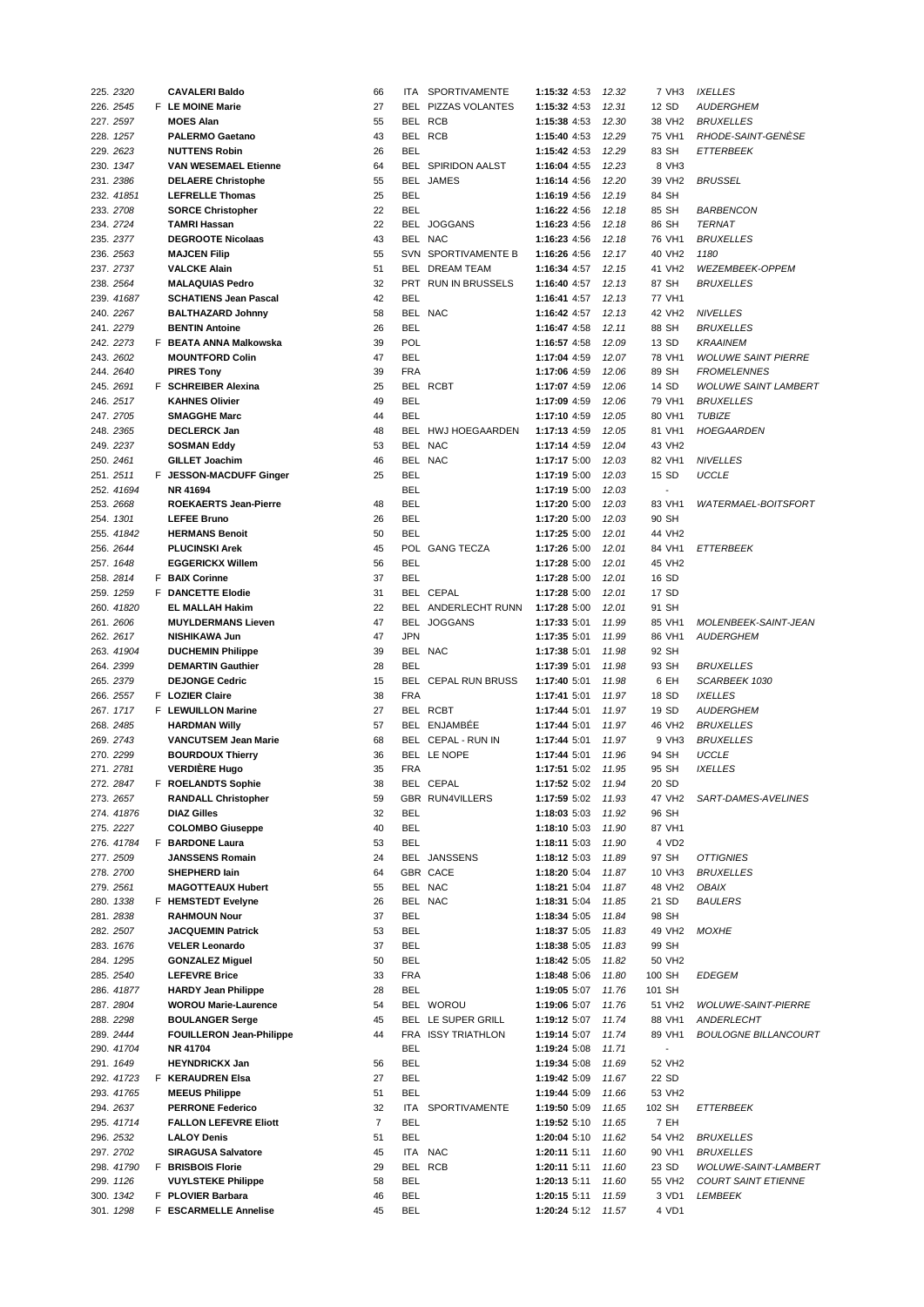| 225. 2320  | <b>CAVALERI Baldo</b>           | 66             | ITA.       | <b>SPORTIVAMENTE</b>      | 1:15:32 4:53       | 12.32 | 7 VH3                    | <b>IXELLES</b>              |
|------------|---------------------------------|----------------|------------|---------------------------|--------------------|-------|--------------------------|-----------------------------|
| 226. 2545  | F LE MOINE Marie                | 27             |            | BEL PIZZAS VOLANTES       | 1:15:32 4:53       | 12.31 | 12 SD                    | <b>AUDERGHEM</b>            |
| 227. 2597  | <b>MOES Alan</b>                | 55             |            | BEL RCB                   | 1:15:38 4:53       | 12.30 | 38 VH2                   | <b>BRUXELLES</b>            |
|            |                                 | 43             |            | BEL RCB                   |                    |       | 75 VH1                   | RHODE-SAINT-GENÈSE          |
| 228. 1257  | <b>PALERMO Gaetano</b>          |                |            |                           | 1:15:40 4:53       | 12.29 |                          |                             |
| 229. 2623  | <b>NUTTENS Robin</b>            | 26             | <b>BEL</b> |                           | 1:15:42 4:53       | 12.29 | 83 SH                    | <b>ETTERBEEK</b>            |
| 230. 1347  | <b>VAN WESEMAEL Etienne</b>     | 64             |            | <b>BEL SPIRIDON AALST</b> | 1:16:04 4:55       | 12.23 | 8 VH3                    |                             |
| 231.2386   | <b>DELAERE Christophe</b>       | 55             |            | BEL JAMES                 | 1:16:14 4:56       | 12.20 | 39 VH2                   | <b>BRUSSEL</b>              |
| 232. 41851 | <b>LEFRELLE Thomas</b>          | 25             | <b>BEL</b> |                           | 1:16:19 4:56       | 12.19 | 84 SH                    |                             |
| 233. 2708  | <b>SORCE Christopher</b>        | 22             | <b>BEL</b> |                           | 1:16:22 4:56       | 12.18 | 85 SH                    | <b>BARBENCON</b>            |
|            |                                 | 22             |            |                           |                    | 12.18 | 86 SH                    |                             |
| 234. 2724  | <b>TAMRI Hassan</b>             |                |            | BEL JOGGANS               | 1:16:23 4:56       |       |                          | <b>TERNAT</b>               |
| 235. 2377  | <b>DEGROOTE Nicolaas</b>        | 43             |            | BEL NAC                   | 1:16:23 4:56       | 12.18 | 76 VH1                   | <b>BRUXELLES</b>            |
| 236. 2563  | <b>MAJCEN Filip</b>             | 55             |            | SVN SPORTIVAMENTE B       | 1:16:26 4:56       | 12.17 | 40 VH <sub>2</sub>       | 1180                        |
| 237.2737   | <b>VALCKE Alain</b>             | 51             |            | BEL DREAM TEAM            | 1:16:34 4:57       | 12.15 | 41 VH2                   | WEZEMBEEK-OPPEM             |
| 238. 2564  | <b>MALAQUIAS Pedro</b>          | 32             |            | PRT RUN IN BRUSSELS       | 1:16:40 4:57       | 12.13 | 87 SH                    | <b>BRUXELLES</b>            |
| 239. 41687 | <b>SCHATIENS Jean Pascal</b>    | 42             | <b>BEL</b> |                           | 1:16:41 4:57       | 12.13 | 77 VH1                   |                             |
|            |                                 |                |            | BEL NAC                   |                    |       |                          |                             |
| 240. 2267  | <b>BALTHAZARD Johnny</b>        | 58             |            |                           | 1:16:42 4:57       | 12.13 | 42 VH2                   | <b>NIVELLES</b>             |
| 241.2279   | <b>BENTIN Antoine</b>           | 26             | <b>BEL</b> |                           | 1:16:47 4:58       | 12.11 | 88 SH                    | <b>BRUXELLES</b>            |
| 242. 2273  | F BEATA ANNA Malkowska          | 39             | <b>POL</b> |                           | 1:16:57 4:58       | 12.09 | 13 SD                    | <b>KRAAINEM</b>             |
| 243. 2602  | <b>MOUNTFORD Colin</b>          | 47             | <b>BEL</b> |                           | 1:17:04 4:59       | 12.07 | 78 VH1                   | <b>WOLUWE SAINT PIERRE</b>  |
| 244. 2640  | <b>PIRES Tony</b>               | 39             | <b>FRA</b> |                           | 1:17:06 4:59       | 12.06 | 89 SH                    | <b>FROMELENNES</b>          |
| 245. 2691  | F SCHREIBER Alexina             | 25             |            | BEL RCBT                  | 1:17:07 4:59       | 12.06 | 14 SD                    | <b>WOLUWE SAINT LAMBERT</b> |
|            |                                 |                |            |                           |                    |       |                          |                             |
| 246. 2517  | <b>KAHNES Olivier</b>           | 49             | <b>BEL</b> |                           | 1:17:09 4:59       | 12.06 | 79 VH1                   | <b>BRUXELLES</b>            |
| 247.2705   | <b>SMAGGHE Marc</b>             | 44             | <b>BEL</b> |                           | 1:17:10 4:59       | 12.05 | 80 VH1                   | <b>TUBIZE</b>               |
| 248. 2365  | <b>DECLERCK Jan</b>             | 48             |            | BEL HWJ HOEGAARDEN        | 1:17:13 4:59       | 12.05 | 81 VH1                   | <b>HOEGAARDEN</b>           |
| 249. 2237  | <b>SOSMAN Eddy</b>              | 53             |            | BEL NAC                   | 1:17:14 4:59       | 12.04 | 43 VH2                   |                             |
| 250. 2461  | <b>GILLET Joachim</b>           | 46             |            | BEL NAC                   | 1:17:17 5:00       | 12.03 | 82 VH1                   | <b>NIVELLES</b>             |
| 251.2511   | F JESSON-MACDUFF Ginger         | 25             | <b>BEL</b> |                           | 1:17:19 5:00       | 12.03 | 15 SD                    | <b>UCCLE</b>                |
|            |                                 |                |            |                           |                    |       |                          |                             |
| 252. 41694 | NR 41694                        |                | <b>BEL</b> |                           | 1:17:19 5:00       | 12.03 |                          |                             |
| 253. 2668  | <b>ROEKAERTS Jean-Pierre</b>    | 48             | <b>BEL</b> |                           | 1:17:20 5:00       | 12.03 | 83 VH1                   | WATERMAEL-BOITSFORT         |
| 254. 1301  | <b>LEFEE Bruno</b>              | 26             | <b>BEL</b> |                           | 1:17:20 5:00       | 12.03 | 90 SH                    |                             |
| 255. 41842 | <b>HERMANS Benoit</b>           | 50             | <b>BEL</b> |                           | 1:17:25 5:00       | 12.01 | 44 VH2                   |                             |
| 256. 2644  | <b>PLUCINSKI Arek</b>           | 45             |            | POL GANG TECZA            | 1:17:26 5:00       | 12.01 | 84 VH1                   | <b>ETTERBEEK</b>            |
|            |                                 |                |            |                           |                    |       |                          |                             |
| 257. 1648  | <b>EGGERICKX Willem</b>         | 56             | <b>BEL</b> |                           | 1:17:28 5:00       | 12.01 | 45 VH2                   |                             |
| 258. 2814  | F BAIX Corinne                  | 37             | <b>BEL</b> |                           | 1:17:28 5:00       | 12.01 | 16 SD                    |                             |
| 259. 1259  | F DANCETTE Elodie               | 31             |            | BEL CEPAL                 | 1:17:28 5:00       | 12.01 | 17 SD                    |                             |
| 260. 41820 | <b>EL MALLAH Hakim</b>          | 22             |            | BEL ANDERLECHT RUNN       | 1:17:28 5:00       | 12.01 | 91 SH                    |                             |
| 261.2606   | <b>MUYLDERMANS Lieven</b>       | 47             |            | BEL JOGGANS               | 1:17:33 5:01       | 11.99 | 85 VH1                   | MOLENBEEK-SAINT-JEAN        |
| 262. 2617  | <b>NISHIKAWA Jun</b>            | 47             | <b>JPN</b> |                           | 1:17:35 5:01       | 11.99 | 86 VH1                   | <b>AUDERGHEM</b>            |
|            |                                 |                |            |                           |                    |       |                          |                             |
| 263. 41904 | <b>DUCHEMIN Philippe</b>        | 39             |            | BEL NAC                   | 1:17:38 5:01       | 11.98 | 92 SH                    |                             |
| 264. 2399  | <b>DEMARTIN Gauthier</b>        | 28             | BEL        |                           | 1:17:39 5:01       | 11.98 | 93 SH                    | <b>BRUXELLES</b>            |
| 265. 2379  | <b>DEJONGE Cedric</b>           | 15             |            | BEL CEPAL RUN BRUSS       | 1:17:40 5:01       | 11.98 | 6 EH                     | SCARBEEK 1030               |
| 266. 2557  | F LOZIER Claire                 | 38             | <b>FRA</b> |                           | 1:17:41 5:01       | 11.97 | 18 SD                    | <b>IXELLES</b>              |
| 267. 1717  | F LEWUILLON Marine              | 27             |            | BEL RCBT                  | 1:17:44 5:01       | 11.97 | 19 SD                    | <b>AUDERGHEM</b>            |
| 268. 2485  | <b>HARDMAN Willy</b>            | 57             |            | BEL ENJAMBÉE              | 1:17:44 5:01       | 11.97 | 46 VH2                   | <b>BRUXELLES</b>            |
|            |                                 |                |            |                           |                    |       |                          |                             |
| 269. 2743  | <b>VANCUTSEM Jean Marie</b>     | 68             |            | BEL CEPAL - RUN IN        | 1:17:44 5:01       | 11.97 | 9 VH3                    | <b>BRUXELLES</b>            |
| 270. 2299  | <b>BOURDOUX Thierry</b>         | 36             |            | BEL LE NOPE               | 1:17:44 5:01       | 11.96 | 94 SH                    | <b>UCCLE</b>                |
| 271. 2781  | <b>VERDIERE Hugo</b>            | 35             | <b>FRA</b> |                           | 1:17:51 5:02       | 11.95 | 95 SH                    | <b>IXELLES</b>              |
| 272. 2847  | F ROELANDTS Sophie              | 38             |            | BEL CEPAL                 | 1:17:52 5:02 11.94 |       | 20 SD                    |                             |
| 273. 2657  | <b>RANDALL Christopher</b>      | 59             |            | <b>GBR RUN4VILLERS</b>    | 1:17:59 5:02       | 11.93 | 47 VH2                   | SART-DAMES-AVELINES         |
|            |                                 |                | <b>BEL</b> |                           |                    |       |                          |                             |
| 274. 41876 | <b>DIAZ Gilles</b>              | 32             |            |                           | 1:18:03 5:03       | 11.92 | 96 SH                    |                             |
| 275. 2227  | <b>COLOMBO Giuseppe</b>         | 40             | BEL        |                           | 1:18:10 5:03       | 11.90 | 87 VH1                   |                             |
| 276. 41784 | F BARDONE Laura                 | 53             | BEL        |                           | 1:18:11 5:03       | 11.90 | 4 VD2                    |                             |
| 277.2509   | <b>JANSSENS Romain</b>          | 24             |            | BEL JANSSENS              | 1:18:12 5:03       | 11.89 | 97 SH                    | <b>OTTIGNIES</b>            |
| 278.2700   | SHEPHERD lain                   | 64             |            | GBR CACE                  | 1:18:20 5:04       | 11.87 | 10 VH3                   | <b>BRUXELLES</b>            |
| 279. 2561  | <b>MAGOTTEAUX Hubert</b>        | 55             |            | BEL NAC                   | 1:18:21 5:04       | 11.87 | 48 VH2                   | OBAIX                       |
| 280. 1338  | F HEMSTEDT Evelyne              | 26             |            | BEL NAC                   | 1:18:31 5:04       | 11.85 | 21 SD                    | <b>BAULERS</b>              |
|            |                                 |                |            |                           |                    |       |                          |                             |
| 281.2838   | <b>RAHMOUN Nour</b>             | 37             | BEL        |                           | 1:18:34 5:05       | 11.84 | 98 SH                    |                             |
| 282. 2507  | <b>JACQUEMIN Patrick</b>        | 53             | BEL        |                           | 1:18:37 5:05       | 11.83 | 49 VH2                   | <b>MOXHE</b>                |
| 283. 1676  | <b>VELER Leonardo</b>           | 37             | BEL        |                           | 1:18:38 5:05       | 11.83 | 99 SH                    |                             |
| 284. 1295  | <b>GONZALEZ Miguel</b>          | 50             | BEL        |                           | 1:18:42 5:05       | 11.82 | 50 VH2                   |                             |
| 285. 2540  | <b>LEFEVRE Brice</b>            | 33             | <b>FRA</b> |                           | 1:18:48 5:06       | 11.80 | 100 SH                   | <b>EDEGEM</b>               |
|            |                                 |                |            |                           |                    |       |                          |                             |
| 286. 41877 | <b>HARDY Jean Philippe</b>      | 28             | BEL        |                           | 1:19:05 5:07       | 11.76 | 101 SH                   |                             |
| 287. 2804  | <b>WOROU Marie-Laurence</b>     | 54             |            | BEL WOROU                 | 1:19:06 5:07       | 11.76 | 51 VH2                   | <b>WOLUWE-SAINT-PIERRE</b>  |
| 288. 2298  | <b>BOULANGER Serge</b>          | 45             |            | BEL LE SUPER GRILL        | 1:19:12 5:07       | 11.74 | 88 VH1                   | ANDERLECHT                  |
| 289. 2444  | <b>FOUILLERON Jean-Philippe</b> | 44             |            | FRA ISSY TRIATHLON        | 1:19:14 5:07       | 11.74 | 89 VH1                   | <b>BOULOGNE BILLANCOURT</b> |
| 290. 41704 | NR 41704                        |                | BEL        |                           | 1:19:24 5:08       | 11.71 | $\overline{\phantom{a}}$ |                             |
| 291. 1649  | <b>HEYNDRICKX Jan</b>           | 56             | BEL        |                           | 1:19:34 5:08       | 11.69 | 52 VH <sub>2</sub>       |                             |
|            |                                 |                |            |                           |                    |       |                          |                             |
| 292. 41723 | F KERAUDREN Elsa                | 27             | BEL        |                           | 1:19:42 5:09       | 11.67 | 22 SD                    |                             |
| 293. 41765 | <b>MEEUS Philippe</b>           | 51             | BEL        |                           | 1:19:44 5:09       | 11.66 | 53 VH2                   |                             |
| 294. 2637  | <b>PERRONE Federico</b>         | 32             | ITA        | SPORTIVAMENTE             | 1:19:50 5:09       | 11.65 | 102 SH                   | ETTERBEEK                   |
| 295. 41714 | <b>FALLON LEFEVRE Eliott</b>    | $\overline{7}$ | BEL        |                           | 1:19:52 5:10       | 11.65 | 7 EH                     |                             |
| 296. 2532  | <b>LALOY Denis</b>              | 51             | BEL        |                           | 1:20:04 5:10       | 11.62 | 54 VH2                   | <b>BRUXELLES</b>            |
| 297.2702   | <b>SIRAGUSA Salvatore</b>       | 45             |            | ITA NAC                   | 1:20:11 5:11       | 11.60 | 90 VH1                   | <b>BRUXELLES</b>            |
|            |                                 |                |            |                           |                    |       |                          |                             |
| 298. 41790 | F BRISBOIS Florie               | 29             |            | BEL RCB                   | 1:20:11 5:11       | 11.60 | 23 SD                    | WOLUWE-SAINT-LAMBERT        |
| 299. 1126  | <b>VUYLSTEKE Philippe</b>       | 58             | BEL        |                           | 1:20:13 5:11       | 11.60 | 55 VH2                   | <b>COURT SAINT ETIENNE</b>  |
| 300. 1342  | F PLOVIER Barbara               | 46             | BEL        |                           | 1:20:15 5:11       | 11.59 | 3 VD1                    | LEMBEEK                     |
| 301. 1298  | F ESCARMELLE Annelise           | 45             | BEL        |                           | 1:20:24 5:12       | 11.57 | 4 VD1                    |                             |
|            |                                 |                |            |                           |                    |       |                          |                             |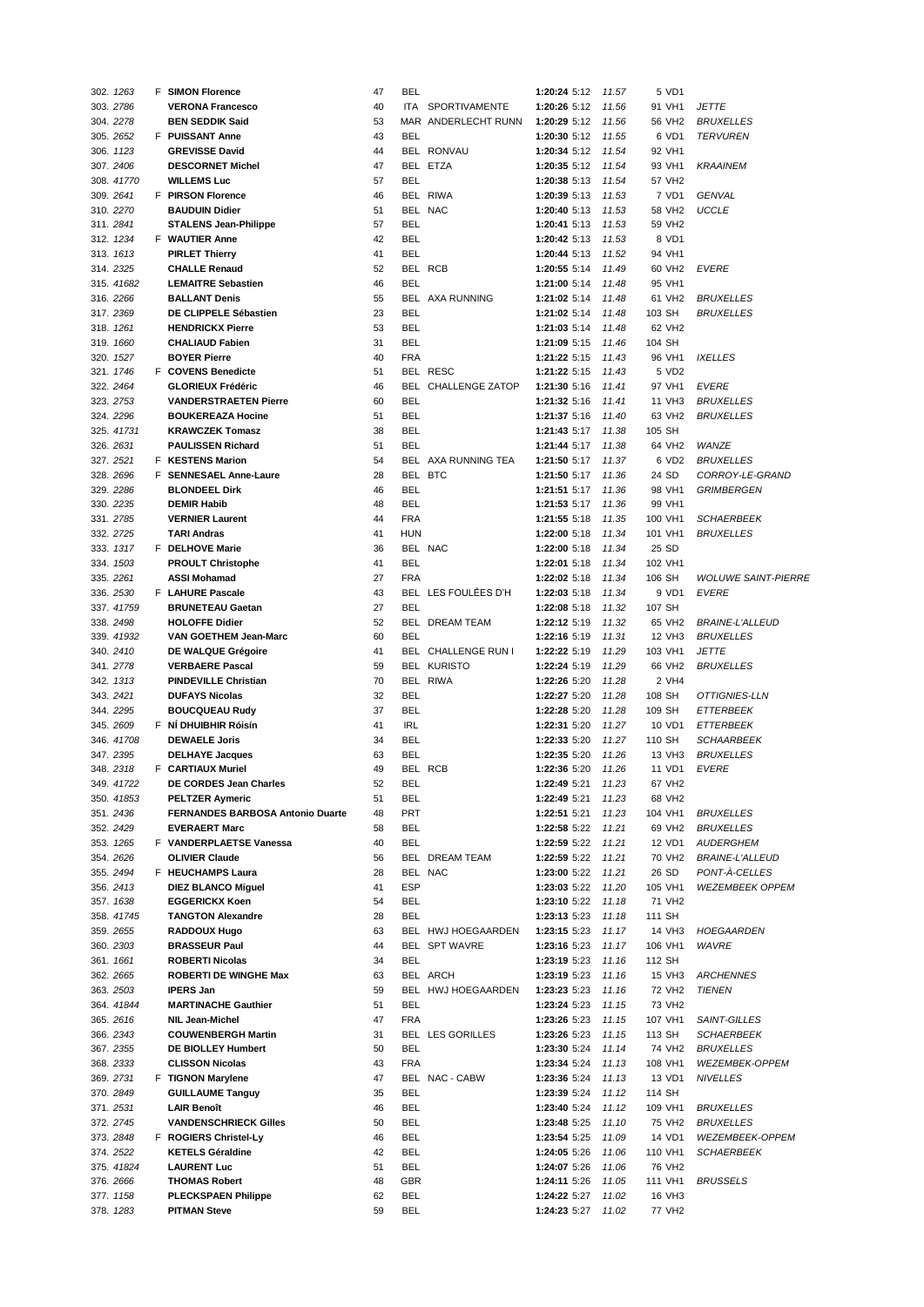| 302. 1263  | <b>F</b> SIMON Florence          | 47 | BEL        |                        | 1:20:24 5:12       | 11.57 | 5 VD1              |                            |
|------------|----------------------------------|----|------------|------------------------|--------------------|-------|--------------------|----------------------------|
| 303. 2786  | <b>VERONA Francesco</b>          | 40 | ITA.       | SPORTIVAMENTE          | 1:20:26 5:12       | 11.56 | 91 VH1             | <b>JETTE</b>               |
|            |                                  |    |            |                        |                    |       |                    |                            |
| 304. 2278  | <b>BEN SEDDIK Said</b>           | 53 |            | MAR ANDERLECHT RUNN    | 1:20:29 5:12       | 11.56 | 56 VH2             | <b>BRUXELLES</b>           |
| 305. 2652  | F PUISSANT Anne                  | 43 | <b>BEL</b> |                        | 1:20:30 5:12       | 11.55 | 6 VD1              | <b>TERVUREN</b>            |
| 306. 1123  | <b>GREVISSE David</b>            | 44 |            | BEL RONVAU             | 1:20:34 5:12       | 11.54 | 92 VH1             |                            |
| 307. 2406  | <b>DESCORNET Michel</b>          | 47 |            | BEL ETZA               | 1:20:35 5:12       | 11.54 | 93 VH1             | <b>KRAAINEM</b>            |
| 308. 41770 | <b>WILLEMS Luc</b>               | 57 | BEL        |                        | 1:20:38 5:13       | 11.54 | 57 VH2             |                            |
| 309. 2641  | F PIRSON Florence                | 46 |            | BEL RIWA               | 1:20:39 5:13       | 11.53 | 7 VD1              | <b>GENVAL</b>              |
|            |                                  |    |            |                        |                    |       |                    |                            |
| 310. 2270  | <b>BAUDUIN Didier</b>            | 51 |            | BEL NAC                | 1:20:40 5:13       | 11.53 | 58 VH2             | <b>UCCLE</b>               |
| 311.2841   | <b>STALENS Jean-Philippe</b>     | 57 | BEL        |                        | 1:20:41 5:13       | 11.53 | 59 VH2             |                            |
| 312. 1234  | F WAUTIER Anne                   | 42 | <b>BEL</b> |                        | 1:20:42 5:13       | 11.53 | 8 VD1              |                            |
| 313. 1613  | <b>PIRLET Thierry</b>            | 41 | <b>BEL</b> |                        | 1:20:44 5:13       | 11.52 | 94 VH1             |                            |
| 314. 2325  | <b>CHALLE Renaud</b>             | 52 |            | BEL RCB                | 1:20:55 5:14       | 11.49 | 60 VH <sub>2</sub> | EVERE                      |
|            |                                  |    |            |                        |                    |       |                    |                            |
| 315. 41682 | <b>LEMAITRE Sebastien</b>        | 46 | <b>BEL</b> |                        | 1:21:00 5:14       | 11.48 | 95 VH1             |                            |
| 316.2266   | <b>BALLANT Denis</b>             | 55 |            | <b>BEL AXA RUNNING</b> | 1:21:02 5:14       | 11.48 | 61 VH2             | <b>BRUXELLES</b>           |
| 317.2369   | DE CLIPPELE Sébastien            | 23 | <b>BEL</b> |                        | 1:21:02 5:14       | 11.48 | 103 SH             | <b>BRUXELLES</b>           |
| 318. 1261  | <b>HENDRICKX Pierre</b>          | 53 | <b>BEL</b> |                        | 1:21:03 5:14       | 11.48 | 62 VH <sub>2</sub> |                            |
| 319. 1660  | <b>CHALIAUD Fabien</b>           | 31 | <b>BEL</b> |                        | 1:21:09 5:15       | 11.46 | 104 SH             |                            |
|            | <b>BOYER Pierre</b>              | 40 | <b>FRA</b> |                        |                    | 11.43 |                    |                            |
| 320. 1527  |                                  |    |            |                        | 1:21:22 5:15       |       | 96 VH1             | <b>IXELLES</b>             |
| 321. 1746  | F COVENS Benedicte               | 51 |            | BEL RESC               | 1:21:22 5:15       | 11.43 | 5 VD2              |                            |
| 322. 2464  | <b>GLORIEUX Frédéric</b>         | 46 |            | BEL CHALLENGE ZATOP    | 1:21:30 5:16       | 11.41 | 97 VH1             | EVERE                      |
| 323. 2753  | <b>VANDERSTRAETEN Pierre</b>     | 60 | <b>BEL</b> |                        | 1:21:32 5:16       | 11.41 | 11 VH3             | <b>BRUXELLES</b>           |
| 324. 2296  | <b>BOUKEREAZA Hocine</b>         | 51 | <b>BEL</b> |                        | 1:21:37 5:16       | 11.40 | 63 VH <sub>2</sub> | <b>BRUXELLES</b>           |
| 325. 41731 | <b>KRAWCZEK Tomasz</b>           | 38 | <b>BEL</b> |                        | 1:21:43 5:17       | 11.38 | 105 SH             |                            |
|            |                                  |    |            |                        |                    |       |                    |                            |
| 326. 2631  | <b>PAULISSEN Richard</b>         | 51 | <b>BEL</b> |                        | 1:21:44 5:17       | 11.38 | 64 VH2             | WANZE                      |
| 327. 2521  | F KESTENS Marion                 | 54 |            | BEL AXA RUNNING TEA    | 1:21:50 5:17       | 11.37 | 6 VD2              | <b>BRUXELLES</b>           |
| 328. 2696  | F SENNESAEL Anne-Laure           | 28 |            | BEL BTC                | 1:21:50 5:17       | 11.36 | 24 SD              | CORROY-LE-GRAND            |
| 329. 2286  | <b>BLONDEEL Dirk</b>             | 46 | <b>BEL</b> |                        | 1:21:51 5:17       | 11.36 | 98 VH1             | <b>GRIMBERGEN</b>          |
| 330. 2235  | <b>DEMIR Habib</b>               | 48 | <b>BEL</b> |                        | 1:21:53 5:17       | 11.36 | 99 VH1             |                            |
|            |                                  |    |            |                        |                    |       |                    |                            |
| 331. 2785  | <b>VERNIER Laurent</b>           | 44 | <b>FRA</b> |                        | 1:21:55 5:18       | 11.35 | 100 VH1            | <b>SCHAERBEEK</b>          |
| 332. 2725  | <b>TARI Andras</b>               | 41 | HUN        |                        | 1:22:00 5:18       | 11.34 | 101 VH1            | <b>BRUXELLES</b>           |
| 333. 1317  | F DELHOVE Marie                  | 36 |            | BEL NAC                | 1:22:00 5:18       | 11.34 | 25 SD              |                            |
| 334. 1503  | <b>PROULT Christophe</b>         | 41 | <b>BEL</b> |                        | 1:22:01 5:18       | 11.34 | 102 VH1            |                            |
| 335. 2261  | <b>ASSI Mohamad</b>              | 27 | <b>FRA</b> |                        | 1:22:02 5:18       | 11.34 | 106 SH             | <b>WOLUWE SAINT-PIERRE</b> |
|            |                                  |    |            |                        |                    |       |                    |                            |
| 336. 2530  | <b>F</b> LAHURE Pascale          | 43 |            | BEL LES FOULÉES D'H    | 1:22:03 5:18       | 11.34 | 9 VD1              | <b>EVERE</b>               |
| 337. 41759 | <b>BRUNETEAU Gaetan</b>          | 27 | <b>BEL</b> |                        | 1:22:08 5:18       | 11.32 | 107 SH             |                            |
| 338. 2498  | <b>HOLOFFE Didier</b>            | 52 |            | BEL DREAM TEAM         | 1:22:12 5:19       | 11.32 | 65 VH2             | <b>BRAINE-L'ALLEUD</b>     |
| 339. 41932 | VAN GOETHEM Jean-Marc            | 60 | <b>BEL</b> |                        | 1:22:16 5:19       | 11.31 | 12 VH3             | <b>BRUXELLES</b>           |
| 340. 2410  | DE WALQUE Grégoire               | 41 |            | BEL CHALLENGE RUN I    | 1:22:22 5:19       | 11.29 | 103 VH1            | <b>JETTE</b>               |
| 341. 2778  | <b>VERBAERE Pascal</b>           | 59 |            | <b>BEL KURISTO</b>     | 1:22:24 5:19       | 11.29 | 66 VH <sub>2</sub> | <b>BRUXELLES</b>           |
|            |                                  |    |            |                        |                    |       |                    |                            |
| 342. 1313  | <b>PINDEVILLE Christian</b>      | 70 |            | BEL RIWA               | 1:22:26 5:20       | 11.28 | 2 VH4              |                            |
| 343. 2421  | <b>DUFAYS Nicolas</b>            | 32 | <b>BEL</b> |                        | 1:22:27 5:20       | 11.28 | 108 SH             | OTTIGNIES-LLN              |
| 344. 2295  | <b>BOUCQUEAU Rudy</b>            | 37 | <b>BEL</b> |                        | 1:22:28 5:20       | 11.28 | 109 SH             | <b>ETTERBEEK</b>           |
| 345.2609   | F NÍ DHUIBHIR Róisín             | 41 | <b>IRL</b> |                        | 1:22:31 5:20       | 11.27 | 10 VD1             | <b>ETTERBEEK</b>           |
| 346. 41708 | <b>DEWAELE Joris</b>             | 34 | BEL        |                        | 1:22:33 5:20       | 11.27 | 110 SH             | <b>SCHAARBEEK</b>          |
|            |                                  |    |            |                        |                    |       |                    |                            |
| 347.2395   | <b>DELHAYE Jacques</b>           | 63 | <b>BEL</b> |                        | 1:22:35 5:20       | 11.26 | 13 VH3             | <b>BRUXELLES</b>           |
| 348. 2318  | F CARTIAUX Muriel                | 49 |            | BEL RCB                | 1:22:36 5:20       | 11.26 | 11 VD1             | <b>EVERE</b>               |
| 349. 41722 | DE CORDES Jean Charles           | 52 | <b>BEL</b> |                        | 1:22:49 5:21 11.23 |       | 67 VH2             |                            |
| 350. 41853 | <b>PELTZER Aymeric</b>           | 51 | <b>BEL</b> |                        | 1:22:49 5:21       | 11.23 | 68 VH2             |                            |
| 351.2436   | FERNANDES BARBOSA Antonio Duarte | 48 | PRT        |                        | 1:22:51 5:21       | 11.23 | 104 VH1            | <b>BRUXELLES</b>           |
|            |                                  |    |            |                        |                    |       |                    |                            |
| 352. 2429  | <b>EVERAERT Marc</b>             | 58 | BEL        |                        | 1:22:58 5:22       | 11.21 | 69 VH2             | <b>BRUXELLES</b>           |
| 353. 1265  | F VANDERPLAETSE Vanessa          | 40 | <b>BEL</b> |                        | 1:22:59 5:22       | 11.21 | 12 VD1             | <b>AUDERGHEM</b>           |
| 354. 2626  | <b>OLIVIER Claude</b>            | 56 |            | BEL DREAM TEAM         | 1:22:59 5:22       | 11.21 | 70 VH2             | <b>BRAINE-L'ALLEUD</b>     |
| 355. 2494  | F HEUCHAMPS Laura                | 28 |            | BEL NAC                | 1:23:00 5:22       | 11.21 | 26 SD              | PONT-À-CELLES              |
| 356. 2413  | <b>DIEZ BLANCO Miguel</b>        | 41 | <b>ESP</b> |                        | 1:23:03 5:22       | 11.20 | 105 VH1            | <b>WEZEMBEEK OPPEM</b>     |
| 357. 1638  | <b>EGGERICKX Koen</b>            | 54 | <b>BEL</b> |                        | 1:23:10 5:22       | 11.18 | 71 VH2             |                            |
|            |                                  |    |            |                        |                    |       |                    |                            |
| 358. 41745 | <b>TANGTON Alexandre</b>         | 28 | <b>BEL</b> |                        | 1:23:13 5:23       | 11.18 | 111 SH             |                            |
| 359. 2655  | RADDOUX Hugo                     | 63 |            | BEL HWJ HOEGAARDEN     | 1:23:15 5:23       | 11.17 | 14 VH3             | <b>HOEGAARDEN</b>          |
| 360. 2303  | <b>BRASSEUR Paul</b>             | 44 |            | BEL SPT WAVRE          | 1:23:16 5:23       | 11.17 | 106 VH1            | WAVRE                      |
| 361. 1661  | <b>ROBERTI Nicolas</b>           | 34 | <b>BEL</b> |                        | 1:23:19 5:23       | 11.16 | 112 SH             |                            |
| 362. 2665  | <b>ROBERTI DE WINGHE Max</b>     | 63 |            | BEL ARCH               | 1:23:19 5:23       | 11.16 | 15 VH3             | <b>ARCHENNES</b>           |
|            |                                  |    |            |                        |                    |       |                    |                            |
| 363. 2503  | <b>IPERS Jan</b>                 | 59 |            | BEL HWJ HOEGAARDEN     | 1:23:23 5:23       | 11.16 | 72 VH <sub>2</sub> | <b>TIENEN</b>              |
| 364. 41844 | <b>MARTINACHE Gauthier</b>       | 51 | <b>BEL</b> |                        | 1:23:24 5:23       | 11.15 | 73 VH2             |                            |
| 365. 2616  | <b>NIL Jean-Michel</b>           | 47 | <b>FRA</b> |                        | 1:23:26 5:23       | 11.15 | 107 VH1            | SAINT-GILLES               |
| 366. 2343  | <b>COUWENBERGH Martin</b>        | 31 |            | BEL LES GORILLES       | 1:23:26 5:23       | 11.15 | 113 SH             | <b>SCHAERBEEK</b>          |
| 367.2355   | DE BIOLLEY Humbert               | 50 | <b>BEL</b> |                        | 1:23:30 5:24       | 11.14 | 74 VH2             | <b>BRUXELLES</b>           |
|            |                                  |    |            |                        |                    |       |                    |                            |
| 368. 2333  | <b>CLISSON Nicolas</b>           | 43 | <b>FRA</b> |                        | 1:23:34 5:24       | 11.13 | 108 VH1            | <b>WEZEMBEK-OPPEM</b>      |
| 369. 2731  | F TIGNON Marylene                | 47 |            | BEL NAC - CABW         | 1:23:36 5:24       | 11.13 | 13 VD1             | <b>NIVELLES</b>            |
| 370. 2849  | <b>GUILLAUME Tanguy</b>          | 35 | <b>BEL</b> |                        | 1:23:39 5:24       | 11.12 | 114 SH             |                            |
| 371. 2531  | <b>LAIR Benoît</b>               | 46 | <b>BEL</b> |                        | 1:23:40 5:24       | 11.12 | 109 VH1            | <b>BRUXELLES</b>           |
| 372. 2745  | <b>VANDENSCHRIECK Gilles</b>     | 50 | <b>BEL</b> |                        | 1:23:48 5:25       | 11.10 | 75 VH2             | <b>BRUXELLES</b>           |
|            |                                  |    | <b>BEL</b> |                        |                    | 11.09 | 14 VD1             |                            |
| 373. 2848  | F ROGIERS Christel-Ly            | 46 |            |                        | 1:23:54 5:25       |       |                    | WEZEMBEEK-OPPEM            |
| 374. 2522  | <b>KETELS Géraldine</b>          | 42 | <b>BEL</b> |                        | 1:24:05 5:26       | 11.06 | 110 VH1            | <b>SCHAERBEEK</b>          |
| 375. 41824 | <b>LAURENT Luc</b>               | 51 | <b>BEL</b> |                        | 1:24:07 5:26       | 11.06 | 76 VH2             |                            |
| 376. 2666  | <b>THOMAS Robert</b>             | 48 | GBR        |                        | 1:24:11 5:26       | 11.05 | 111 VH1            | <b>BRUSSELS</b>            |
| 377.1158   | <b>PLECKSPAEN Philippe</b>       | 62 | <b>BEL</b> |                        | 1:24:22 5:27       | 11.02 | 16 VH3             |                            |
|            |                                  | 59 | BEL        |                        |                    |       |                    |                            |
| 378. 1283  | <b>PITMAN Steve</b>              |    |            |                        | 1:24:23 5:27       | 11.02 | 77 VH2             |                            |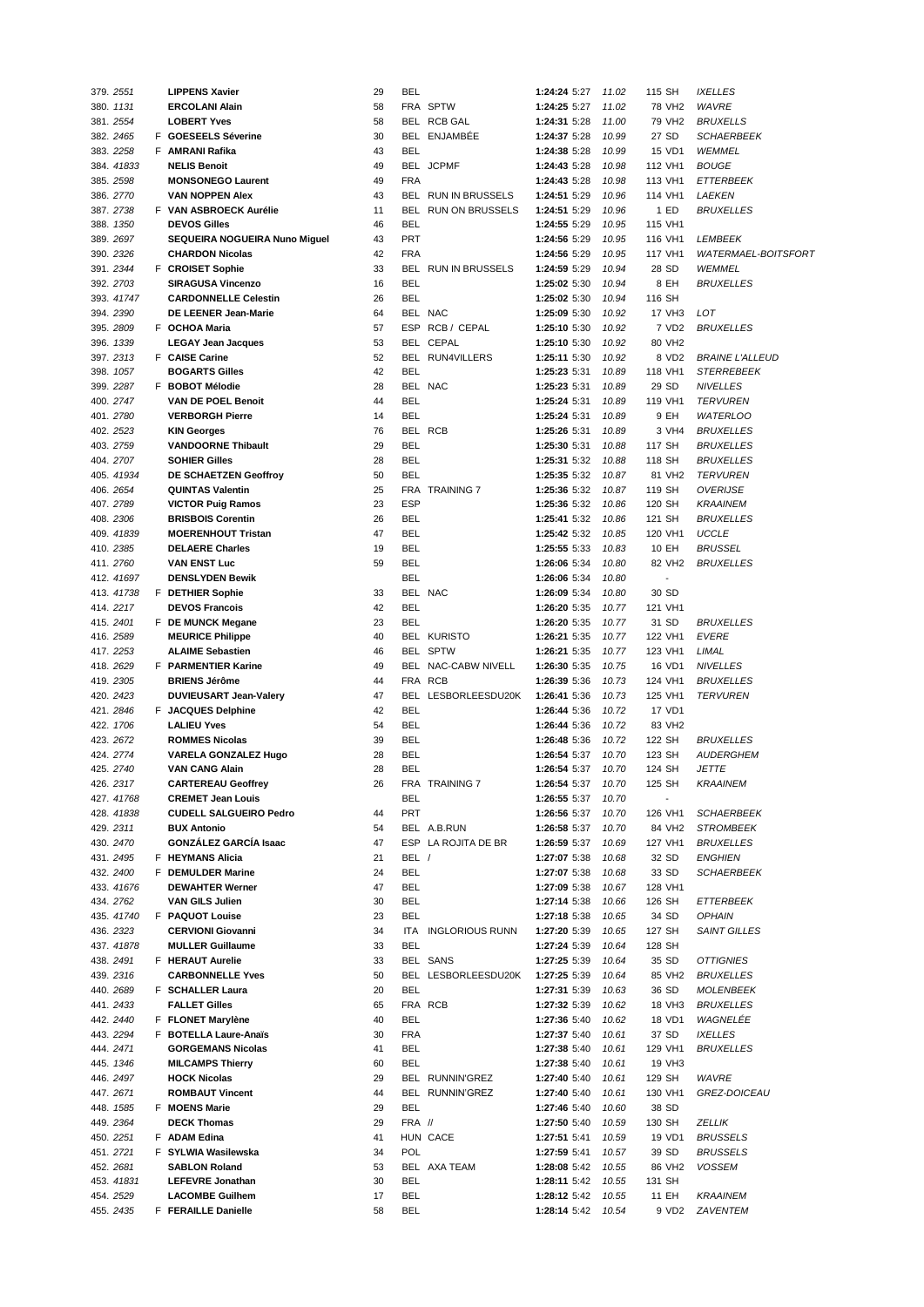| 379. 2551  |  | <b>LIPPENS Xavier</b>         | 29 | BEL               |                     | 1:24:24 5:27       | 11.02 | 115 SH             | <b>IXELLES</b>             |
|------------|--|-------------------------------|----|-------------------|---------------------|--------------------|-------|--------------------|----------------------------|
| 380. 1131  |  | <b>ERCOLANI Alain</b>         | 58 |                   | FRA SPTW            | 1:24:25 5:27       | 11.02 | 78 VH <sub>2</sub> | <b>WAVRE</b>               |
| 381. 2554  |  | <b>LOBERT Yves</b>            | 58 |                   | BEL RCB GAL         | 1:24:31 5:28       | 11.00 | 79 VH <sub>2</sub> | <b>BRUXELLS</b>            |
| 382. 2465  |  | F GOESEELS Séverine           | 30 |                   | BEL ENJAMBEE        | 1:24:37 5:28       | 10.99 | 27 SD              | <b>SCHAERBEEK</b>          |
| 383. 2258  |  | F AMRANI Rafika               | 43 | <b>BEL</b>        |                     | 1:24:38 5:28       | 10.99 | 15 VD1             | WEMMEL                     |
| 384. 41833 |  | <b>NELIS Benoit</b>           | 49 |                   | BEL JCPMF           | 1:24:43 5:28       | 10.98 | 112 VH1            | <b>BOUGE</b>               |
| 385. 2598  |  | <b>MONSONEGO Laurent</b>      | 49 | <b>FRA</b>        |                     | 1:24:43 5:28       | 10.98 | 113 VH1            | <b>ETTERBEEK</b>           |
| 386. 2770  |  | <b>VAN NOPPEN Alex</b>        | 43 |                   | BEL RUN IN BRUSSELS | 1:24:51 5:29       | 10.96 | 114 VH1            | LAEKEN                     |
| 387.2738   |  | F VAN ASBROECK Aurélie        | 11 |                   | BEL RUN ON BRUSSELS | 1:24:51 5:29       | 10.96 | 1 ED               | <b>BRUXELLES</b>           |
| 388. 1350  |  | <b>DEVOS Gilles</b>           | 46 | BEL               |                     | 1:24:55 5:29       | 10.95 | 115 VH1            |                            |
| 389. 2697  |  | SEQUEIRA NOGUEIRA Nuno Miguel | 43 | <b>PRT</b>        |                     | 1:24:56 5:29       | 10.95 | 116 VH1            | LEMBEEK                    |
| 390. 2326  |  | <b>CHARDON Nicolas</b>        | 42 | <b>FRA</b>        |                     | 1:24:56 5:29       | 10.95 | 117 VH1            | <b>WATERMAEL-BOITSFORT</b> |
| 391.2344   |  | F CROISET Sophie              | 33 |                   | BEL RUN IN BRUSSELS | 1:24:59 5:29       | 10.94 | 28 SD              | WEMMEL                     |
| 392. 2703  |  | <b>SIRAGUSA Vincenzo</b>      | 16 | <b>BEL</b>        |                     | 1:25:02 5:30       | 10.94 | 8 EH               | <b>BRUXELLES</b>           |
| 393. 41747 |  | <b>CARDONNELLE Celestin</b>   | 26 | <b>BEL</b>        |                     | 1:25:02 5:30       | 10.94 | 116 SH             |                            |
| 394. 2390  |  | DE LEENER Jean-Marie          | 64 |                   | BEL NAC             | 1:25:09 5:30       | 10.92 | 17 VH3             | LOT                        |
| 395.2809   |  | F OCHOA Maria                 | 57 |                   | ESP RCB / CEPAL     | 1:25:10 5:30       | 10.92 | 7 VD2              | <b>BRUXELLES</b>           |
| 396. 1339  |  | <b>LEGAY Jean Jacques</b>     | 53 |                   | BEL CEPAL           | 1:25:10 5:30       | 10.92 | 80 VH2             |                            |
| 397.2313   |  | F CAISE Carine                | 52 |                   | BEL RUN4VILLERS     | 1:25:11 5:30       | 10.92 | 8 VD2              | <b>BRAINE L'ALLEUD</b>     |
| 398. 1057  |  | <b>BOGARTS Gilles</b>         | 42 | <b>BEL</b>        |                     | 1:25:23 5:31       | 10.89 | 118 VH1            | <b>STERREBEEK</b>          |
| 399. 2287  |  | F BOBOT Mélodie               | 28 |                   | BEL NAC             | 1:25:23 5:31       | 10.89 | 29 SD              | <b>NIVELLES</b>            |
| 400. 2747  |  | <b>VAN DE POEL Benoit</b>     | 44 | <b>BEL</b>        |                     | 1:25:24 5:31       | 10.89 | 119 VH1            | <b>TERVUREN</b>            |
| 401.2780   |  | <b>VERBORGH Pierre</b>        | 14 | <b>BEL</b>        |                     | 1:25:24 5:31       | 10.89 | 9 EH               | <b>WATERLOO</b>            |
| 402. 2523  |  | <b>KIN Georges</b>            | 76 |                   | BEL RCB             | 1:25:26 5:31       | 10.89 | 3 VH4              | <b>BRUXELLES</b>           |
| 403. 2759  |  | <b>VANDOORNE Thibault</b>     | 29 | BEL               |                     | 1:25:30 5:31       | 10.88 | 117 SH             | <b>BRUXELLES</b>           |
| 404.2707   |  | <b>SOHIER Gilles</b>          | 28 | <b>BEL</b>        |                     | 1:25:31 5:32       | 10.88 | 118 SH             | <b>BRUXELLES</b>           |
| 405. 41934 |  | DE SCHAETZEN Geoffroy         | 50 | <b>BEL</b>        |                     | 1:25:35 5:32       | 10.87 | 81 VH <sub>2</sub> | <b>TERVUREN</b>            |
| 406. 2654  |  | <b>QUINTAS Valentin</b>       | 25 |                   | FRA TRAINING 7      | 1:25:36 5:32       | 10.87 | 119 SH             | <b>OVERIJSE</b>            |
| 407.2789   |  | <b>VICTOR Puig Ramos</b>      | 23 | <b>ESP</b>        |                     | 1:25:36 5:32       | 10.86 | 120 SH             | <b>KRAAINEM</b>            |
| 408.2306   |  | <b>BRISBOIS Corentin</b>      | 26 | <b>BEL</b>        |                     | 1:25:41 5:32       | 10.86 | 121 SH             | <b>BRUXELLES</b>           |
| 409. 41839 |  | <b>MOERENHOUT Tristan</b>     | 47 | <b>BEL</b>        |                     | 1:25:42 5:32       | 10.85 | 120 VH1            | <b>UCCLE</b>               |
| 410. 2385  |  | <b>DELAERE Charles</b>        | 19 | <b>BEL</b>        |                     | 1:25:55 5:33       | 10.83 | 10 EH              | <b>BRUSSEL</b>             |
| 411.2760   |  | <b>VAN ENST Luc</b>           | 59 | <b>BEL</b>        |                     | 1:26:06 5:34       | 10.80 | 82 VH <sub>2</sub> | <b>BRUXELLES</b>           |
| 412. 41697 |  | <b>DENSLYDEN Bewik</b>        |    | <b>BEL</b>        |                     | 1:26:06 5:34       | 10.80 | $\blacksquare$     |                            |
| 413. 41738 |  | F DETHIER Sophie              | 33 |                   | BEL NAC             | 1:26:09 5:34       | 10.80 | 30 SD              |                            |
| 414.2217   |  | <b>DEVOS Francois</b>         | 42 | <b>BEL</b>        |                     | 1:26:20 5:35       | 10.77 | 121 VH1            |                            |
| 415.2401   |  | F DE MUNCK Megane             | 23 | <b>BEL</b>        |                     | 1:26:20 5:35       | 10.77 | 31 SD              | <b>BRUXELLES</b>           |
| 416. 2589  |  | <b>MEURICE Philippe</b>       | 40 |                   | <b>BEL KURISTO</b>  | 1:26:21 5:35       | 10.77 | 122 VH1            | <b>EVERE</b>               |
| 417.2253   |  | <b>ALAIME Sebastien</b>       | 46 |                   | BEL SPTW            | 1:26:21 5:35       | 10.77 | 123 VH1            | LIMAL                      |
| 418. 2629  |  | F PARMENTIER Karine           | 49 |                   | BEL NAC-CABW NIVELL | 1:26:30 5:35       | 10.75 | 16 VD1             | <b>NIVELLES</b>            |
| 419. 2305  |  | <b>BRIENS Jérôme</b>          | 44 |                   | FRA RCB             | 1:26:39 5:36       | 10.73 | 124 VH1            | <b>BRUXELLES</b>           |
| 420. 2423  |  | <b>DUVIEUSART Jean-Valery</b> | 47 |                   | BEL LESBORLEESDU20K | 1:26:41 5:36       | 10.73 | 125 VH1            | <b>TERVUREN</b>            |
| 421.2846   |  | <b>F</b> JACQUES Delphine     | 42 | <b>BEL</b>        |                     | 1:26:44 5:36       | 10.72 | 17 VD1             |                            |
| 422. 1706  |  | <b>LALIEU Yves</b>            | 54 | BEL               |                     | 1:26:44 5:36       | 10.72 | 83 VH2             |                            |
| 423. 2672  |  | <b>ROMMES Nicolas</b>         | 39 | BEL               |                     | 1:26:48 5:36       | 10.72 | 122 SH             | <b>BRUXELLES</b>           |
| 424. 2774  |  | <b>VARELA GONZALEZ Hugo</b>   | 28 | <b>BEL</b>        |                     | 1:26:54 5:37       | 10.70 | 123 SH             | <b>AUDERGHEM</b>           |
| 425. 2740  |  | <b>VAN CANG Alain</b>         | 28 | BEL               |                     | 1:26:54 5:37       | 10.70 | 124 SH             | <b>JETTE</b>               |
| 426. 2317  |  | <b>CARTEREAU Geoffrey</b>     | 26 |                   | FRA TRAINING 7      | 1:26:54 5:37 10.70 |       | 125 SH             | KRAAINEM                   |
| 427. 41768 |  | <b>CREMET Jean Louis</b>      |    | BEL               |                     | 1:26:55 5:37       | 10.70 |                    |                            |
| 428. 41838 |  | <b>CUDELL SALGUEIRO Pedro</b> | 44 | <b>PRT</b>        |                     | 1:26:56 5:37       | 10.70 | 126 VH1            | <b>SCHAERBEEK</b>          |
| 429. 2311  |  | <b>BUX Antonio</b>            | 54 |                   | BEL A.B.RUN         | 1:26:58 5:37       | 10.70 | 84 VH2             | <b>STROMBEEK</b>           |
| 430. 2470  |  | <b>GONZALEZ GARCIA Isaac</b>  | 47 |                   | ESP LA ROJITA DE BR | 1:26:59 5:37       | 10.69 | 127 VH1            | <b>BRUXELLES</b>           |
| 431.2495   |  | F HEYMANS Alicia              | 21 | BEL /             |                     | 1:27:07 5:38       | 10.68 | 32 SD              | <b>ENGHIEN</b>             |
| 432. 2400  |  | F DEMULDER Marine             | 24 | BEL               |                     | 1:27:07 5:38       | 10.68 | 33 SD              | <b>SCHAERBEEK</b>          |
| 433. 41676 |  | <b>DEWAHTER Werner</b>        | 47 | BEL               |                     | 1:27:09 5:38       | 10.67 | 128 VH1            |                            |
| 434. 2762  |  | <b>VAN GILS Julien</b>        | 30 | BEL               |                     | 1:27:14 5:38       | 10.66 | 126 SH             | <b>ETTERBEEK</b>           |
| 435. 41740 |  | F PAQUOT Louise               | 23 | BEL               |                     | 1:27:18 5:38       | 10.65 | 34 SD              | <b>OPHAIN</b>              |
| 436.2323   |  | <b>CERVIONI Giovanni</b>      | 34 |                   | ITA INGLORIOUS RUNN | 1:27:20 5:39       | 10.65 | 127 SH             | <b>SAINT GILLES</b>        |
| 437. 41878 |  | <b>MULLER Guillaume</b>       | 33 | BEL               |                     | 1:27:24 5:39       | 10.64 | 128 SH             |                            |
| 438.2491   |  | F HERAUT Aurelie              | 33 |                   | BEL SANS            | 1:27:25 5:39       | 10.64 | 35 SD              | <i><b>OTTIGNIES</b></i>    |
| 439. 2316  |  | <b>CARBONNELLE Yves</b>       | 50 |                   | BEL LESBORLEESDU20K | 1:27:25 5:39       | 10.64 | 85 VH2             | <b>BRUXELLES</b>           |
| 440. 2689  |  | F SCHALLER Laura              | 20 | <b>BEL</b>        |                     | 1:27:31 5:39       | 10.63 | 36 SD              | <b>MOLENBEEK</b>           |
| 441.2433   |  | <b>FALLET Gilles</b>          | 65 |                   | FRA RCB             | 1:27:32 5:39       | 10.62 | 18 VH3             | <b>BRUXELLES</b>           |
| 442. 2440  |  | F FLONET Marylène             | 40 | BEL               |                     | 1:27:36 5:40       | 10.62 | 18 VD1             | WAGNELEE                   |
| 443. 2294  |  | F BOTELLA Laure-Anaïs         | 30 | <b>FRA</b>        |                     | 1:27:37 5:40       | 10.61 | 37 SD              | <b>IXELLES</b>             |
| 444.2471   |  | <b>GORGEMANS Nicolas</b>      | 41 | BEL               |                     | 1:27:38 5:40       | 10.61 | 129 VH1            | <b>BRUXELLES</b>           |
| 445. 1346  |  | <b>MILCAMPS Thierry</b>       | 60 | BEL               |                     | 1:27:38 5:40       | 10.61 | 19 VH3             |                            |
| 446. 2497  |  | <b>HOCK Nicolas</b>           | 29 |                   | BEL RUNNIN'GREZ     | 1:27:40 5:40       | 10.61 | 129 SH             | WAVRE                      |
| 447.2671   |  | <b>ROMBAUT Vincent</b>        | 44 |                   | BEL RUNNIN'GREZ     | 1:27:40 5:40       | 10.61 | 130 VH1            | GREZ-DOICEAU               |
| 448. 1585  |  | F MOENS Marie                 | 29 | <b>BEL</b>        |                     | 1:27:46 5:40       | 10.60 | 38 SD              |                            |
| 449. 2364  |  | <b>DECK Thomas</b>            | 29 | FRA //            |                     | 1:27:50 5:40       | 10.59 | 130 SH             | ZELLIK                     |
| 450. 2251  |  | F ADAM Edina                  | 41 |                   | HUN CACE            | 1:27:51 5:41       | 10.59 | 19 VD1             | <b>BRUSSELS</b>            |
| 451.2721   |  | F SYLWIA Wasilewska           | 34 | <b>POL</b>        |                     | 1:27:59 5:41       | 10.57 | 39 SD              | <b>BRUSSELS</b>            |
| 452. 2681  |  | <b>SABLON Roland</b>          | 53 |                   | BEL AXA TEAM        | 1:28:08 5:42       | 10.55 | 86 VH <sub>2</sub> | <b>VOSSEM</b>              |
|            |  | <b>LEFEVRE Jonathan</b>       | 30 | BEL               |                     | 1:28:11 5:42       | 10.55 | 131 SH             |                            |
| 453. 41831 |  |                               |    |                   |                     |                    |       |                    |                            |
| 454.2529   |  | <b>LACOMBE Guilhem</b>        | 17 | BEL<br><b>BEL</b> |                     | 1:28:12 5:42       | 10.55 | 11 EH              | <b>KRAAINEM</b>            |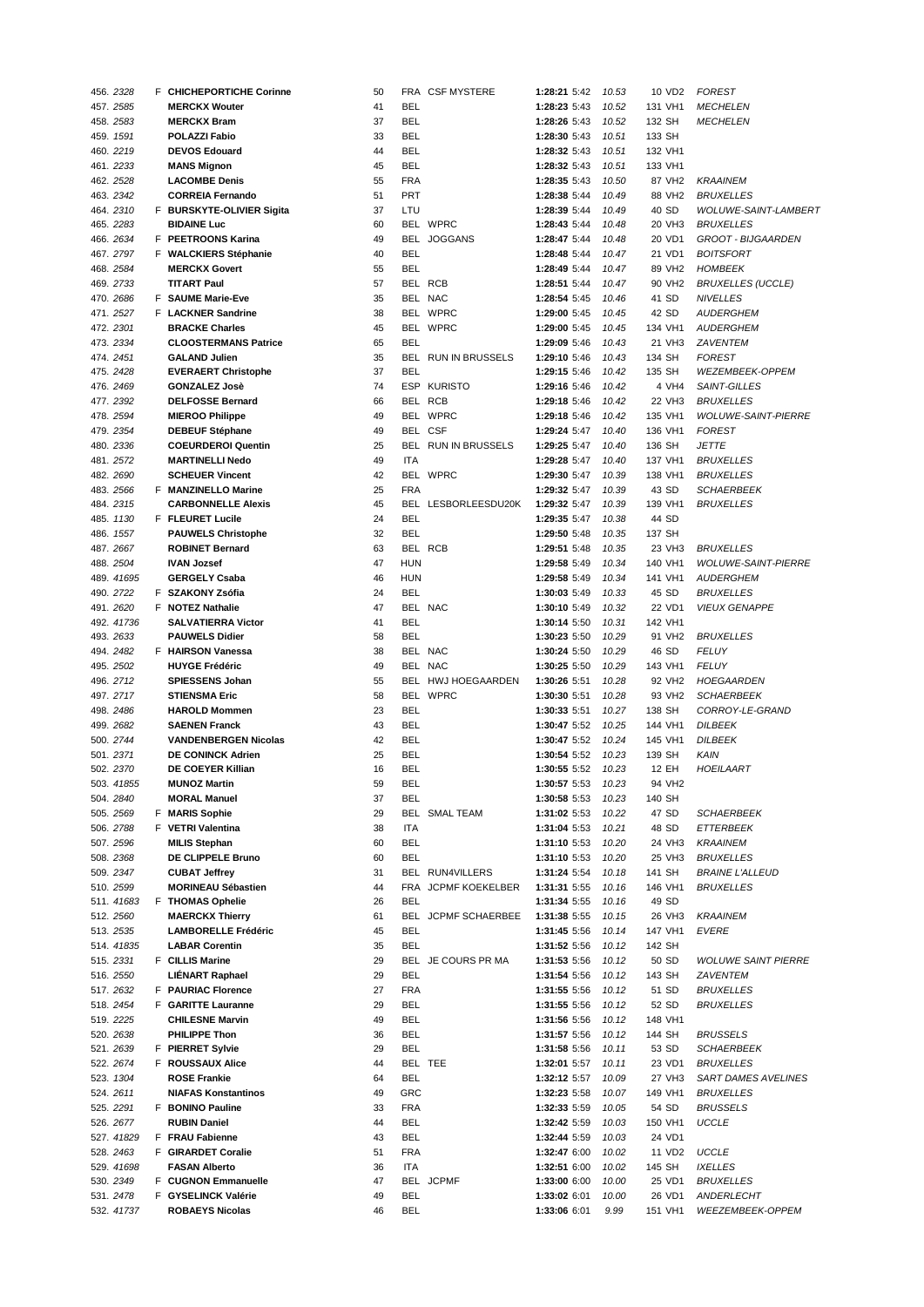| 456.2328   | F CHICHEPORTICHE Corinne    | 50 |            | FRA CSF MYSTERE        | 1:28:21 5:42       | 10.53 | 10 VD <sub>2</sub> | <b>FOREST</b>              |
|------------|-----------------------------|----|------------|------------------------|--------------------|-------|--------------------|----------------------------|
| 457.2585   | <b>MERCKX Wouter</b>        | 41 | <b>BEL</b> |                        | 1:28:23 5:43       | 10.52 | 131 VH1            | <b>MECHELEN</b>            |
| 458.2583   | <b>MERCKX Bram</b>          | 37 | <b>BEL</b> |                        | 1:28:26 5:43       | 10.52 | 132 SH             | <b>MECHELEN</b>            |
| 459. 1591  | POLAZZI Fabio               | 33 | <b>BEL</b> |                        | 1:28:30 5:43       | 10.51 | 133 SH             |                            |
| 460. 2219  | <b>DEVOS Edouard</b>        | 44 | <b>BEL</b> |                        | 1:28:32 5:43       | 10.51 | 132 VH1            |                            |
| 461.2233   | <b>MANS Mignon</b>          | 45 | <b>BEL</b> |                        | 1:28:32 5:43       | 10.51 | 133 VH1            |                            |
| 462. 2528  | <b>LACOMBE Denis</b>        | 55 | <b>FRA</b> |                        | 1:28:35 5:43       | 10.50 | 87 VH2             | <b>KRAAINEM</b>            |
|            |                             |    |            |                        |                    |       |                    |                            |
| 463. 2342  | <b>CORREIA Fernando</b>     | 51 | <b>PRT</b> |                        | 1:28:38 5:44       | 10.49 | 88 VH2             | <b>BRUXELLES</b>           |
| 464.2310   | F BURSKYTE-OLIVIER Sigita   | 37 | LTU        |                        | 1:28:39 5:44       | 10.49 | 40 SD              | WOLUWE-SAINT-LAMBERT       |
| 465.2283   | <b>BIDAINE Luc</b>          | 60 |            | BEL WPRC               | 1:28:43 5:44       | 10.48 | 20 VH3             | <b>BRUXELLES</b>           |
| 466. 2634  | F PEETROONS Karina          | 49 | BEL        | <b>JOGGANS</b>         | 1:28:47 5:44       | 10.48 | 20 VD1             | GROOT - BIJGAARDEN         |
| 467.2797   | F WALCKIERS Stéphanie       | 40 | <b>BEL</b> |                        | 1:28:48 5:44       | 10.47 | 21 VD1             | <b>BOITSFORT</b>           |
| 468.2584   | <b>MERCKX Govert</b>        | 55 | <b>BEL</b> |                        | 1:28:49 5:44       | 10.47 | 89 VH <sub>2</sub> | <b>HOMBEEK</b>             |
| 469. 2733  | <b>TITART Paul</b>          | 57 |            | BEL RCB                | 1:28:51 5:44       | 10.47 | 90 VH <sub>2</sub> | <b>BRUXELLES (UCCLE)</b>   |
| 470. 2686  | F SAUME Marie-Eve           | 35 |            | BEL NAC                | 1:28:54 5:45       | 10.46 | 41 SD              | <b>NIVELLES</b>            |
| 471.2527   | F LACKNER Sandrine          | 38 |            | BEL WPRC               | 1:29:00 5:45       | 10.45 | 42 SD              | <b>AUDERGHEM</b>           |
|            |                             |    |            |                        |                    |       |                    |                            |
| 472. 2301  | <b>BRACKE Charles</b>       | 45 |            | BEL WPRC               | 1:29:00 5:45       | 10.45 | 134 VH1            | <b>AUDERGHEM</b>           |
| 473. 2334  | <b>CLOOSTERMANS Patrice</b> | 65 | <b>BEL</b> |                        | 1:29:09 5:46       | 10.43 | 21 VH3             | <b>ZAVENTEM</b>            |
| 474.2451   | <b>GALAND Julien</b>        | 35 | BEL        | <b>RUN IN BRUSSELS</b> | 1:29:10 5:46       | 10.43 | 134 SH             | <b>FOREST</b>              |
| 475. 2428  | <b>EVERAERT Christophe</b>  | 37 | <b>BEL</b> |                        | 1:29:15 5:46       | 10.42 | 135 SH             | WEZEMBEEK-OPPEM            |
| 476. 2469  | <b>GONZALEZ Josè</b>        | 74 |            | ESP KURISTO            | 1:29:16 5:46       | 10.42 | 4 VH4              | SAINT-GILLES               |
| 477.2392   | <b>DELFOSSE Bernard</b>     | 66 |            | BEL RCB                | 1:29:18 5:46       | 10.42 | 22 VH3             | <b>BRUXELLES</b>           |
| 478. 2594  | <b>MIEROO Philippe</b>      | 49 |            | BEL WPRC               | 1:29:18 5:46       | 10.42 | 135 VH1            | <b>WOLUWE-SAINT-PIERRE</b> |
| 479. 2354  | <b>DEBEUF Stéphane</b>      | 49 |            | BEL CSF                | 1:29:24 5:47       | 10.40 | 136 VH1            | <b>FOREST</b>              |
| 480. 2336  | <b>COEURDEROI Quentin</b>   | 25 |            | BEL RUN IN BRUSSELS    | 1:29:25 5:47       | 10.40 | 136 SH             | <b>JETTE</b>               |
| 481.2572   | <b>MARTINELLI Nedo</b>      | 49 | <b>ITA</b> |                        |                    |       |                    |                            |
|            |                             |    |            |                        | 1:29:28 5:47       | 10.40 | 137 VH1            | <b>BRUXELLES</b>           |
| 482. 2690  | <b>SCHEUER Vincent</b>      | 42 |            | BEL WPRC               | 1:29:30 5:47       | 10.39 | 138 VH1            | <b>BRUXELLES</b>           |
| 483. 2566  | F MANZINELLO Marine         | 25 | <b>FRA</b> |                        | 1:29:32 5:47       | 10.39 | 43 SD              | <b>SCHAERBEEK</b>          |
| 484. 2315  | <b>CARBONNELLE Alexis</b>   | 45 | BEL        | LESBORLEESDU20K        | 1:29:32 5:47       | 10.39 | 139 VH1            | <b>BRUXELLES</b>           |
| 485. 1130  | F FLEURET Lucile            | 24 | <b>BEL</b> |                        | 1:29:35 5:47       | 10.38 | 44 SD              |                            |
| 486. 1557  | <b>PAUWELS Christophe</b>   | 32 | <b>BEL</b> |                        | 1:29:50 5:48       | 10.35 | 137 SH             |                            |
| 487.2667   | <b>ROBINET Bernard</b>      | 63 |            | BEL RCB                | 1:29:51 5:48       | 10.35 | 23 VH3             | <b>BRUXELLES</b>           |
| 488. 2504  | <b>IVAN Jozsef</b>          | 47 | <b>HUN</b> |                        | 1:29:58 5:49       | 10.34 | 140 VH1            | <b>WOLUWE-SAINT-PIERRE</b> |
| 489. 41695 | <b>GERGELY Csaba</b>        | 46 | <b>HUN</b> |                        | 1:29:58 5:49       | 10.34 | 141 VH1            | <b>AUDERGHEM</b>           |
|            |                             |    | <b>BEL</b> |                        |                    |       |                    |                            |
| 490. 2722  | F SZAKONY Zsófia            | 24 |            |                        | 1:30:03 5:49       | 10.33 | 45 SD              | <b>BRUXELLES</b>           |
| 491.2620   | F NOTEZ Nathalie            | 47 |            | BEL NAC                | 1:30:10 5:49       | 10.32 | 22 VD1             | <b>VIEUX GENAPPE</b>       |
| 492. 41736 | <b>SALVATIERRA Victor</b>   | 41 | <b>BEL</b> |                        | 1:30:14 5:50       | 10.31 | 142 VH1            |                            |
| 493. 2633  | <b>PAUWELS Didier</b>       | 58 | <b>BEL</b> |                        | 1:30:23 5:50       | 10.29 | 91 VH <sub>2</sub> | <b>BRUXELLES</b>           |
| 494. 2482  | F HAIRSON Vanessa           | 38 |            | BEL NAC                | 1:30:24 5:50       | 10.29 | 46 SD              | <b>FELUY</b>               |
| 495. 2502  | <b>HUYGE Frédéric</b>       | 49 |            | BEL NAC                | 1:30:25 5:50       | 10.29 | 143 VH1            | <b>FELUY</b>               |
| 496. 2712  | <b>SPIESSENS Johan</b>      | 55 |            | BEL HWJ HOEGAARDEN     | 1:30:26 5:51       | 10.28 | 92 VH2             | <b>HOEGAARDEN</b>          |
| 497. 2717  | <b>STIENSMA Eric</b>        | 58 |            | BEL WPRC               | 1:30:30 5:51       | 10.28 | 93 VH2             | <b>SCHAERBEEK</b>          |
| 498. 2486  | <b>HAROLD Mommen</b>        | 23 | <b>BEL</b> |                        | 1:30:33 5:51       | 10.27 | 138 SH             | CORROY-LE-GRAND            |
| 499. 2682  |                             | 43 | <b>BEL</b> |                        |                    |       | 144 VH1            |                            |
|            | <b>SAENEN Franck</b>        |    |            |                        | 1:30:47 5:52       | 10.25 |                    | <b>DILBEEK</b>             |
| 500. 2744  | <b>VANDENBERGEN Nicolas</b> | 42 | <b>BEL</b> |                        | 1:30:47 5:52       | 10.24 | 145 VH1            | <b>DILBEEK</b>             |
| 501. 2371  | <b>DE CONINCK Adrien</b>    | 25 | <b>BEL</b> |                        | 1:30:54 5:52       | 10.23 | 139 SH             | KAIN                       |
| 502. 2370  | DE COEYER Killian           | 16 | <b>BEL</b> |                        | 1:30:55 5:52       | 10.23 | 12 EH              | HOEILAART                  |
| 503 41855  | <b>MUNOZ Martin</b>         | 59 | <b>BEL</b> |                        | 1:30:57 5:53 10.23 |       | 94 VH <sub>2</sub> |                            |
| 504. 2840  | <b>MORAL Manuel</b>         | 37 | BEL        |                        | 1:30:58 5:53       | 10.23 | 140 SH             |                            |
| 505. 2569  | F MARIS Sophie              | 29 |            | BEL SMAL TEAM          | 1:31:02 5:53       | 10.22 | 47 SD              | <b>SCHAERBEEK</b>          |
| 506. 2788  | F VETRI Valentina           | 38 | ITA        |                        | 1:31:04 5:53       | 10.21 | 48 SD              | ETTERBEEK                  |
| 507. 2596  | <b>MILIS Stephan</b>        | 60 | <b>BEL</b> |                        | 1:31:10 5:53       | 10.20 | 24 VH3             | <b>KRAAINEM</b>            |
| 508.2368   | DE CLIPPELE Bruno           |    |            |                        |                    |       |                    |                            |
|            |                             | 60 | <b>BEL</b> |                        | 1:31:10 5:53       | 10.20 | 25 VH3             | <b>BRUXELLES</b>           |
| 509. 2347  | <b>CUBAT Jeffrey</b>        | 31 |            | BEL RUN4VILLERS        | 1:31:24 5:54       | 10.18 | 141 SH             | <b>BRAINE L'ALLEUD</b>     |
| 510. 2599  | <b>MORINEAU Sébastien</b>   | 44 |            | FRA JCPMF KOEKELBER    | 1:31:31 5:55       | 10.16 | 146 VH1            | <b>BRUXELLES</b>           |
| 511. 41683 | F THOMAS Ophelie            | 26 | <b>BEL</b> |                        | 1:31:34 5:55       | 10.16 | 49 SD              |                            |
| 512. 2560  | <b>MAERCKX Thierry</b>      | 61 |            | BEL JCPMF SCHAERBEE    | 1:31:38 5:55       | 10.15 | 26 VH3             | <b>KRAAINEM</b>            |
| 513. 2535  | <b>LAMBORELLE Frédéric</b>  | 45 | <b>BEL</b> |                        | 1:31:45 5:56       | 10.14 | 147 VH1            | <b>EVERE</b>               |
| 514. 41835 | <b>LABAR Corentin</b>       | 35 | <b>BEL</b> |                        | 1:31:52 5:56       | 10.12 | 142 SH             |                            |
| 515. 2331  | F CILLIS Marine             | 29 |            | BEL JE COURS PR MA     | 1:31:53 5:56       | 10.12 | 50 SD              | <b>WOLUWE SAINT PIERRE</b> |
| 516. 2550  | LIÉNART Raphael             | 29 | <b>BEL</b> |                        | 1:31:54 5:56       | 10.12 | 143 SH             | <b>ZAVENTEM</b>            |
| 517. 2632  | F PAURIAC Florence          | 27 | <b>FRA</b> |                        | 1:31:55 5:56       | 10.12 | 51 SD              |                            |
|            |                             |    |            |                        |                    |       |                    | <b>BRUXELLES</b>           |
| 518.2454   | F GARITTE Lauranne          | 29 | BEL        |                        | 1:31:55 5:56       | 10.12 | 52 SD              | <b>BRUXELLES</b>           |
| 519. 2225  | <b>CHILESNE Marvin</b>      | 49 | <b>BEL</b> |                        | 1:31:56 5:56       | 10.12 | 148 VH1            |                            |
| 520. 2638  | <b>PHILIPPE Thon</b>        | 36 | <b>BEL</b> |                        | 1:31:57 5:56       | 10.12 | 144 SH             | <b>BRUSSELS</b>            |
| 521. 2639  | F PIERRET Sylvie            | 29 | BEL        |                        | 1:31:58 5:56       | 10.11 | 53 SD              | <b>SCHAERBEEK</b>          |
| 522. 2674  | F ROUSSAUX Alice            | 44 |            | BEL TEE                | 1:32:01 5:57       | 10.11 | 23 VD1             | <b>BRUXELLES</b>           |
| 523. 1304  | <b>ROSE Frankie</b>         | 64 | <b>BEL</b> |                        | 1:32:12 5:57       | 10.09 | 27 VH3             | <b>SART DAMES AVELINES</b> |
| 524. 2611  | <b>NIAFAS Konstantinos</b>  | 49 | GRC        |                        | 1:32:23 5:58       | 10.07 | 149 VH1            | <b>BRUXELLES</b>           |
| 525. 2291  | F BONINO Pauline            | 33 | <b>FRA</b> |                        | 1:32:33 5:59       | 10.05 | 54 SD              | <b>BRUSSELS</b>            |
| 526. 2677  | <b>RUBIN Daniel</b>         | 44 | <b>BEL</b> |                        | 1:32:42 5:59       | 10.03 | 150 VH1            | <b>UCCLE</b>               |
|            |                             |    |            |                        |                    |       |                    |                            |
| 527. 41829 | F FRAU Fabienne             | 43 | BEL        |                        | 1:32:44 5:59       | 10.03 | 24 VD1             |                            |
| 528. 2463  | F GIRARDET Coralie          | 51 | <b>FRA</b> |                        | 1:32:47 6:00       | 10.02 | 11 VD2             | <b>UCCLE</b>               |
| 529. 41698 | <b>FASAN Alberto</b>        | 36 | <b>ITA</b> |                        | 1:32:51 6:00       | 10.02 | 145 SH             | <b>IXELLES</b>             |
| 530. 2349  | F CUGNON Emmanuelle         | 47 |            | BEL JCPMF              | 1:33:00 6:00       | 10.00 | 25 VD1             | <b>BRUXELLES</b>           |
| 531. 2478  | F GYSELINCK Valérie         | 49 | <b>BEL</b> |                        | 1:33:02 6:01       | 10.00 | 26 VD1             | ANDERLECHT                 |
| 532. 41737 | <b>ROBAEYS Nicolas</b>      | 46 | <b>BEL</b> |                        | 1:33:06 6:01       | 9.99  | 151 VH1            | WEEZEMBEEK-OPPEM           |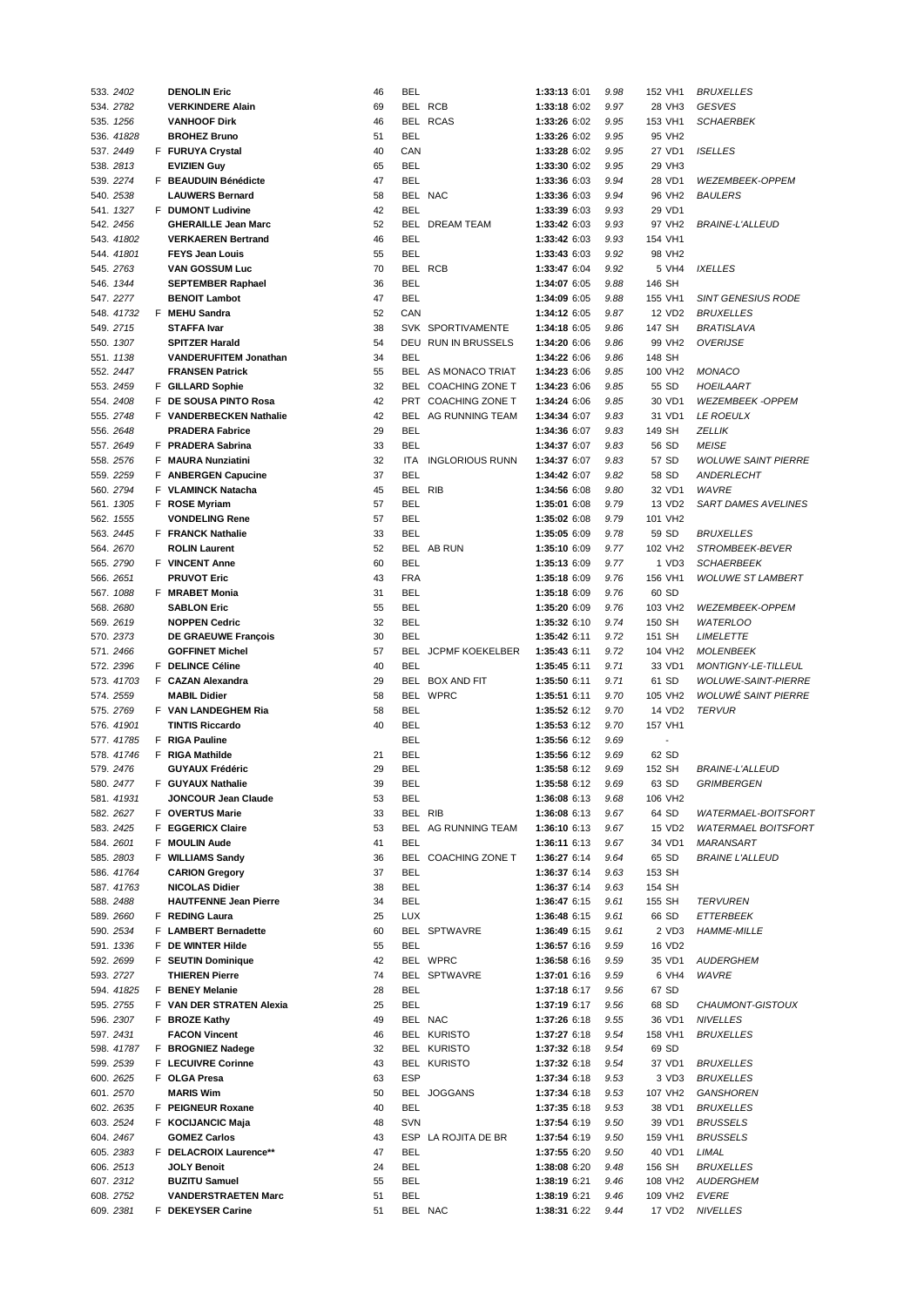| 533. 2402  | <b>DENOLIN Eric</b>          | 46 | BEL        |                            | 1:33:13 6:01 | 9.98 | 152 VH1                  | <i>BRUXELLES</i>           |
|------------|------------------------------|----|------------|----------------------------|--------------|------|--------------------------|----------------------------|
| 534. 2782  | <b>VERKINDERE Alain</b>      | 69 |            | BEL RCB                    | 1:33:18 6:02 | 9.97 | 28 VH3                   | <b>GESVES</b>              |
| 535. 1256  | <b>VANHOOF Dirk</b>          | 46 |            | BEL RCAS                   | 1:33:26 6:02 | 9.95 | 153 VH1                  | <b>SCHAERBEK</b>           |
| 536. 41828 | <b>BROHEZ Bruno</b>          | 51 | BEL        |                            | 1:33:26 6:02 | 9.95 | 95 VH2                   |                            |
| 537.2449   | F FURUYA Crystal             | 40 | CAN        |                            | 1:33:28 6:02 | 9.95 | 27 VD1                   | <b>ISELLES</b>             |
| 538. 2813  | <b>EVIZIEN Guy</b>           | 65 | BEL        |                            | 1:33:30 6:02 | 9.95 | 29 VH3                   |                            |
|            | F BEAUDUIN Bénédicte         | 47 | BEL        |                            | 1:33:36 6:03 |      | 28 VD1                   |                            |
| 539. 2274  |                              |    |            |                            |              | 9.94 |                          | WEZEMBEEK-OPPEM            |
| 540. 2538  | <b>LAUWERS Bernard</b>       | 58 |            | BEL NAC                    | 1:33:36 6:03 | 9.94 | 96 VH <sub>2</sub>       | <b>BAULERS</b>             |
| 541. 1327  | F DUMONT Ludivine            | 42 | BEL        |                            | 1:33:39 6:03 | 9.93 | 29 VD1                   |                            |
| 542. 2456  | <b>GHERAILLE Jean Marc</b>   | 52 |            | BEL DREAM TEAM             | 1:33:42 6:03 | 9.93 | 97 VH2                   | <b>BRAINE-L'ALLEUD</b>     |
| 543. 41802 | <b>VERKAEREN Bertrand</b>    | 46 | <b>BEL</b> |                            | 1:33:42 6:03 | 9.93 | 154 VH1                  |                            |
| 544. 41801 | <b>FEYS Jean Louis</b>       | 55 | BEL        |                            | 1:33:43 6:03 | 9.92 | 98 VH <sub>2</sub>       |                            |
| 545.2763   | VAN GOSSUM Luc               | 70 |            | BEL RCB                    | 1:33:47 6:04 | 9.92 | 5 VH4                    | <b>IXELLES</b>             |
| 546. 1344  | <b>SEPTEMBER Raphael</b>     | 36 | <b>BEL</b> |                            | 1:34:07 6:05 | 9.88 | 146 SH                   |                            |
| 547.2277   | <b>BENOIT Lambot</b>         | 47 | <b>BEL</b> |                            | 1:34:09 6:05 | 9.88 | 155 VH1                  | <b>SINT GENESIUS RODE</b>  |
| 548. 41732 | F MEHU Sandra                | 52 | CAN        |                            | 1:34:12 6:05 | 9.87 | 12 VD <sub>2</sub>       | <b>BRUXELLES</b>           |
| 549. 2715  | <b>STAFFA Ivar</b>           | 38 |            | SVK SPORTIVAMENTE          | 1:34:18 6:05 | 9.86 | 147 SH                   | BRATISLAVA                 |
|            |                              |    |            |                            |              |      |                          |                            |
| 550. 1307  | <b>SPITZER Harald</b>        | 54 |            | DEU RUN IN BRUSSELS        | 1:34:20 6:06 | 9.86 | 99 VH <sub>2</sub>       | <b>OVERIJSE</b>            |
| 551. 1138  | <b>VANDERUFITEM Jonathan</b> | 34 | <b>BEL</b> |                            | 1:34:22 6:06 | 9.86 | 148 SH                   |                            |
| 552. 2447  | <b>FRANSEN Patrick</b>       | 55 |            | BEL AS MONACO TRIAT        | 1:34:23 6:06 | 9.85 | 100 VH2                  | <b>MONACO</b>              |
| 553. 2459  | F GILLARD Sophie             | 32 |            | BEL COACHING ZONE T        | 1:34:23 6:06 | 9.85 | 55 SD                    | HOEILAART                  |
| 554. 2408  | F DE SOUSA PINTO Rosa        | 42 |            | PRT COACHING ZONE T        | 1:34:24 6:06 | 9.85 | 30 VD1                   | <b>WEZEMBEEK -OPPEM</b>    |
| 555. 2748  | F VANDERBECKEN Nathalie      | 42 |            | BEL AG RUNNING TEAM        | 1:34:34 6:07 | 9.83 | 31 VD1                   | <b>LE ROEULX</b>           |
| 556. 2648  | <b>PRADERA Fabrice</b>       | 29 | BEL        |                            | 1:34:36 6:07 | 9.83 | 149 SH                   | ZELLIK                     |
| 557.2649   | F PRADERA Sabrina            | 33 | BEL        |                            | 1:34:37 6:07 | 9.83 | 56 SD                    | <b>MEISE</b>               |
| 558.2576   | F MAURA Nunziatini           | 32 | <b>ITA</b> | <b>INGLORIOUS RUNN</b>     | 1:34:37 6:07 | 9.83 | 57 SD                    | <b>WOLUWE SAINT PIERRE</b> |
| 559. 2259  | F ANBERGEN Capucine          | 37 | BEL        |                            | 1:34:42 6:07 | 9.82 | 58 SD                    | ANDERLECHT                 |
| 560. 2794  |                              | 45 | BEL RIB    |                            | 1:34:56 6:08 |      | 32 VD1                   | <b>WAVRE</b>               |
|            | F VLAMINCK Natacha           |    |            |                            |              | 9.80 |                          |                            |
| 561. 1305  | F ROSE Myriam                | 57 | BEL        |                            | 1:35:01 6:08 | 9.79 | 13 VD2                   | <b>SART DAMES AVELINES</b> |
| 562. 1555  | <b>VONDELING Rene</b>        | 57 | BEL        |                            | 1:35:02 6:08 | 9.79 | 101 VH2                  |                            |
| 563. 2445  | F FRANCK Nathalie            | 33 | BEL        |                            | 1:35:05 6:09 | 9.78 | 59 SD                    | <i>BRUXELLES</i>           |
| 564.2670   | <b>ROLIN Laurent</b>         | 52 |            | BEL AB RUN                 | 1:35:10 6:09 | 9.77 | 102 VH2                  | STROMBEEK-BEVER            |
| 565.2790   | F VINCENT Anne               | 60 | <b>BEL</b> |                            | 1:35:13 6:09 | 9.77 | 1 VD3                    | <b>SCHAERBEEK</b>          |
| 566. 2651  | <b>PRUVOT Eric</b>           | 43 | <b>FRA</b> |                            | 1:35:18 6:09 | 9.76 | 156 VH1                  | <b>WOLUWE ST LAMBERT</b>   |
| 567. 1088  | F MRABET Monia               | 31 | BEL        |                            | 1:35:18 6:09 | 9.76 | 60 SD                    |                            |
| 568.2680   | <b>SABLON Eric</b>           | 55 | BEL        |                            | 1:35:20 6:09 | 9.76 | 103 VH2                  | <b>WEZEMBEEK-OPPEM</b>     |
| 569. 2619  | <b>NOPPEN Cedric</b>         | 32 | <b>BEL</b> |                            | 1:35:32 6:10 | 9.74 | 150 SH                   | <b>WATERLOO</b>            |
| 570. 2373  |                              | 30 | <b>BEL</b> |                            | 1:35:42 6:11 | 9.72 | 151 SH                   | <b>LIMELETTE</b>           |
|            | <b>DE GRAEUWE François</b>   |    |            |                            |              |      |                          |                            |
| 571.2466   | <b>GOFFINET Michel</b>       | 57 |            | <b>BEL JCPMF KOEKELBER</b> | 1:35:43 6:11 | 9.72 | 104 VH2                  | <b>MOLENBEEK</b>           |
| 572. 2396  | F DELINCE Céline             | 40 | <b>BEL</b> |                            | 1:35:45 6:11 | 9.71 | 33 VD1                   | <b>MONTIGNY-LE-TILLEUL</b> |
| 573. 41703 | F CAZAN Alexandra            | 29 |            | BEL BOX AND FIT            | 1:35:50 6:11 | 9.71 | 61 SD                    | <b>WOLUWE-SAINT-PIERRE</b> |
| 574.2559   | <b>MABIL Didier</b>          | 58 |            | BEL WPRC                   | 1:35:51 6:11 | 9.70 | 105 VH2                  | <b>WOLUWE SAINT PIERRE</b> |
| 575.2769   | F VAN LANDEGHEM Ria          | 58 | BEL        |                            | 1:35:52 6:12 | 9.70 | 14 VD2                   | <b>TERVUR</b>              |
| 576. 41901 | <b>TINTIS Riccardo</b>       | 40 | BEL        |                            | 1:35:53 6:12 | 9.70 | 157 VH1                  |                            |
| 577. 41785 | <b>F</b> RIGA Pauline        |    | BEL        |                            | 1:35:56 6:12 | 9.69 | $\overline{\phantom{a}}$ |                            |
| 578. 41746 | F RIGA Mathilde              | 21 | BEL        |                            | 1:35:56 6:12 | 9.69 | 62 SD                    |                            |
| 579. 2476  | <b>GUYAUX Frédéric</b>       | 29 | <b>BEL</b> |                            | 1:35:58 6:12 | 9.69 | 152 SH                   | <b>BRAINE-L'ALLEUD</b>     |
| 580. 2477  | F GUYAUX Nathalie            | 39 | <b>BEL</b> |                            | 1:35:58 6:12 | 9.69 | 63 SD                    | <b>GRIMBERGEN</b>          |
|            |                              |    |            |                            |              |      | 106 VH2                  |                            |
| 581. 41931 | <b>JONCOUR Jean Claude</b>   | 53 | BEL        |                            | 1:36:08 6:13 | 9.68 |                          |                            |
| 582. 2627  | F OVERTUS Marie              | 33 | BEL RIB    |                            | 1:36:08 6:13 | 9.67 | 64 SD                    | WATERMAEL-BOITSFORT        |
| 583. 2425  | F EGGERICX Claire            | 53 |            | BEL AG RUNNING TEAM        | 1:36:10 6:13 | 9.67 | 15 VD2                   | <b>WATERMAEL BOITSFORT</b> |
| 584. 2601  | F MOULIN Aude                | 41 | BEL        |                            | 1:36:11 6:13 | 9.67 | 34 VD1                   | MARANSART                  |
| 585. 2803  | F WILLIAMS Sandy             | 36 |            | BEL COACHING ZONE T        | 1:36:27 6:14 | 9.64 | 65 SD                    | <b>BRAINE L'ALLEUD</b>     |
| 586. 41764 | <b>CARION Gregory</b>        | 37 | BEL        |                            | 1:36:37 6:14 | 9.63 | 153 SH                   |                            |
| 587. 41763 | <b>NICOLAS Didier</b>        | 38 | BEL        |                            | 1:36:37 6:14 | 9.63 | 154 SH                   |                            |
| 588.2488   | <b>HAUTFENNE Jean Pierre</b> | 34 | BEL        |                            | 1:36:47 6:15 | 9.61 | 155 SH                   | TERVUREN                   |
| 589. 2660  | F REDING Laura               | 25 | <b>LUX</b> |                            | 1:36:48 6:15 | 9.61 | 66 SD                    | ETTERBEEK                  |
| 590. 2534  | F LAMBERT Bernadette         | 60 |            | BEL SPTWAVRE               | 1:36:49 6:15 | 9.61 | 2 VD3                    | <b>HAMME-MILLE</b>         |
| 591. 1336  | F DE WINTER Hilde            | 55 | BEL        |                            | 1:36:57 6:16 | 9.59 | 16 VD2                   |                            |
|            |                              |    |            |                            |              |      |                          |                            |
| 592. 2699  | F SEUTIN Dominique           | 42 |            | BEL WPRC                   | 1:36:58 6:16 | 9.59 | 35 VD1                   | <b>AUDERGHEM</b>           |
| 593. 2727  | <b>THIEREN Pierre</b>        | 74 |            | BEL SPTWAVRE               | 1:37:01 6:16 | 9.59 | 6 VH4                    | WAVRE                      |
| 594. 41825 | F BENEY Melanie              | 28 | BEL        |                            | 1:37:18 6:17 | 9.56 | 67 SD                    |                            |
| 595. 2755  | F VAN DER STRATEN Alexia     | 25 | BEL        |                            | 1:37:19 6:17 | 9.56 | 68 SD                    | CHAUMONT-GISTOUX           |
| 596. 2307  | F BROZE Kathy                | 49 |            | BEL NAC                    | 1:37:26 6:18 | 9.55 | 36 VD1                   | <b>NIVELLES</b>            |
| 597.2431   | <b>FACON Vincent</b>         | 46 |            | <b>BEL KURISTO</b>         | 1:37:27 6:18 | 9.54 | 158 VH1                  | <b>BRUXELLES</b>           |
| 598. 41787 | F BROGNIEZ Nadege            | 32 |            | <b>BEL KURISTO</b>         | 1:37:32 6:18 | 9.54 | 69 SD                    |                            |
| 599. 2539  | F LECUIVRE Corinne           | 43 |            | <b>BEL KURISTO</b>         | 1:37:32 6:18 | 9.54 | 37 VD1                   | <i>BRUXELLES</i>           |
| 600. 2625  | F OLGA Presa                 | 63 | ESP        |                            | 1:37:34 6:18 | 9.53 | 3 VD3                    | <i>BRUXELLES</i>           |
|            | <b>MARIS Wim</b>             |    |            | BEL JOGGANS                |              | 9.53 | 107 VH2                  | <b>GANSHOREN</b>           |
| 601.2570   |                              | 50 |            |                            | 1:37:34 6:18 |      |                          |                            |
| 602. 2635  | F PEIGNEUR Roxane            | 40 | BEL        |                            | 1:37:35 6:18 | 9.53 | 38 VD1                   | <b>BRUXELLES</b>           |
| 603. 2524  | F KOCIJANCIC Maja            | 48 | <b>SVN</b> |                            | 1:37:54 6:19 | 9.50 | 39 VD1                   | <b>BRUSSELS</b>            |
| 604. 2467  | <b>GOMEZ Carlos</b>          | 43 |            | ESP LA ROJITA DE BR        | 1:37:54 6:19 | 9.50 | 159 VH1                  | <b>BRUSSELS</b>            |
| 605. 2383  | F DELACROIX Laurence**       | 47 | BEL        |                            | 1:37:55 6:20 | 9.50 | 40 VD1                   | LIMAL                      |
| 606. 2513  | <b>JOLY Benoit</b>           | 24 | BEL        |                            | 1:38:08 6:20 | 9.48 | 156 SH                   | <b>BRUXELLES</b>           |
| 607.2312   | <b>BUZITU Samuel</b>         | 55 | BEL        |                            | 1:38:19 6:21 | 9.46 | 108 VH2                  | AUDERGHEM                  |
| 608. 2752  | <b>VANDERSTRAETEN Marc</b>   | 51 | BEL        |                            | 1:38:19 6:21 | 9.46 | 109 VH2                  | <b>EVERE</b>               |
| 609. 2381  | F DEKEYSER Carine            | 51 |            | BEL NAC                    | 1:38:31 6:22 | 9.44 | 17 VD2                   | <b>NIVELLES</b>            |
|            |                              |    |            |                            |              |      |                          |                            |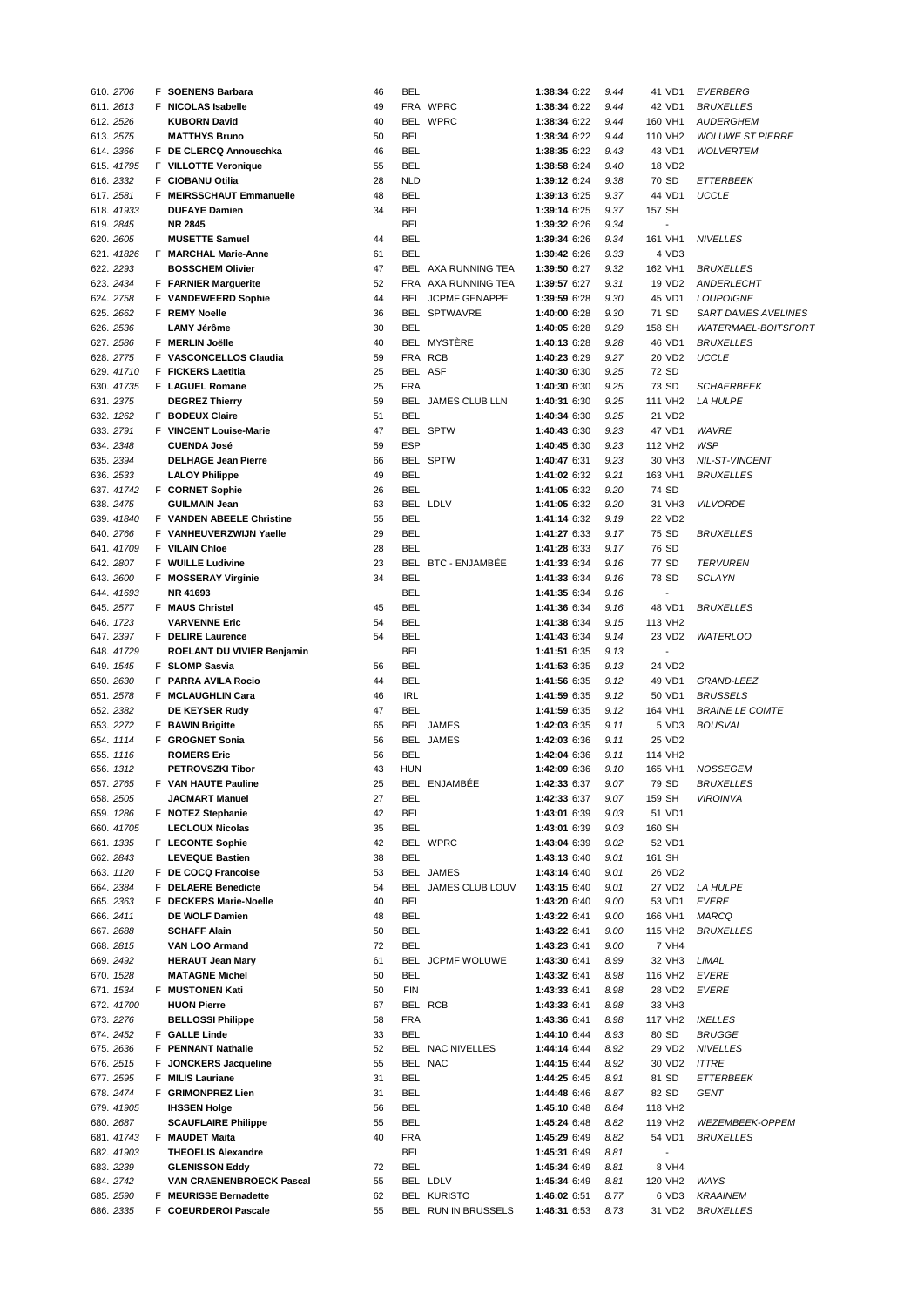|           | 610. 2706  | <b>F</b> SOENENS Barbara        | 46 | BEL        |                           | 1:38:34 6:22 | 9.44 | 41 VD1                   | <b>EVERBERG</b>            |
|-----------|------------|---------------------------------|----|------------|---------------------------|--------------|------|--------------------------|----------------------------|
|           | 611. 2613  | F NICOLAS Isabelle              | 49 |            | FRA WPRC                  | 1:38:34 6:22 | 9.44 | 42 VD1                   | <b>BRUXELLES</b>           |
|           | 612. 2526  | <b>KUBORN David</b>             | 40 |            | BEL WPRC                  | 1:38:34 6:22 | 9.44 | 160 VH1                  | <b>AUDERGHEM</b>           |
|           |            |                                 |    |            |                           |              |      |                          |                            |
|           | 613. 2575  | <b>MATTHYS Bruno</b>            | 50 | BEL        |                           | 1:38:34 6:22 | 9.44 | 110 VH <sub>2</sub>      | <b>WOLUWE ST PIERRE</b>    |
|           | 614.2366   | F DE CLERCQ Annouschka          | 46 | BEL        |                           | 1:38:35 6:22 | 9.43 | 43 VD1                   | <b>WOLVERTEM</b>           |
|           | 615. 41795 | F VILLOTTE Veronique            | 55 | BEL        |                           | 1:38:58 6:24 | 9.40 | 18 VD2                   |                            |
|           | 616. 2332  | F CIOBANU Otilia                | 28 | <b>NLD</b> |                           | 1:39:12 6:24 | 9.38 | 70 SD                    | ETTERBEEK                  |
|           | 617.2581   | F MEIRSSCHAUT Emmanuelle        | 48 | BEL        |                           | 1:39:13 6:25 | 9.37 | 44 VD1                   | <b>UCCLE</b>               |
|           | 618. 41933 | <b>DUFAYE Damien</b>            | 34 | BEL        |                           | 1:39:14 6:25 | 9.37 | 157 SH                   |                            |
|           |            |                                 |    | <b>BEL</b> |                           |              |      | $\overline{\phantom{a}}$ |                            |
|           | 619. 2845  | <b>NR 2845</b>                  |    |            |                           | 1:39:32 6:26 | 9.34 |                          |                            |
|           | 620. 2605  | <b>MUSETTE Samuel</b>           | 44 | <b>BEL</b> |                           | 1:39:34 6:26 | 9.34 | 161 VH1                  | <b>NIVELLES</b>            |
|           | 621. 41826 | F MARCHAL Marie-Anne            | 61 | <b>BEL</b> |                           | 1:39:42 6:26 | 9.33 | 4 VD3                    |                            |
|           | 622. 2293  | <b>BOSSCHEM Olivier</b>         | 47 |            | BEL AXA RUNNING TEA       | 1:39:50 6:27 | 9.32 | 162 VH1                  | <b>BRUXELLES</b>           |
|           | 623. 2434  | F FARNIER Marguerite            | 52 |            | FRA AXA RUNNING TEA       | 1:39:57 6:27 | 9.31 | 19 VD <sub>2</sub>       | ANDERLECHT                 |
|           | 624. 2758  |                                 | 44 |            | BEL JCPMF GENAPPE         | 1:39:59 6:28 | 9.30 | 45 VD1                   | <b>LOUPOIGNE</b>           |
|           |            | F VANDEWEERD Sophie             |    |            |                           |              |      |                          |                            |
|           | 625. 2662  | F REMY Noelle                   | 36 |            | BEL SPTWAVRE              | 1:40:00 6:28 | 9.30 | 71 SD                    | SART DAMES AVELINES        |
|           | 626. 2536  | <b>LAMY Jérôme</b>              | 30 | <b>BEL</b> |                           | 1:40:05 6:28 | 9.29 | 158 SH                   | <b>WATERMAEL-BOITSFORT</b> |
|           | 627. 2586  | F MERLIN Joëlle                 | 40 |            | BEL MYSTÉRE               | 1:40:13 6:28 | 9.28 | 46 VD1                   | <b>BRUXELLES</b>           |
|           | 628. 2775  | F VASCONCELLOS Claudia          | 59 |            | FRA RCB                   | 1:40:23 6:29 | 9.27 | 20 VD2                   | <b>UCCLE</b>               |
|           | 629. 41710 | F FICKERS Laetitia              | 25 |            | BEL ASF                   | 1:40:30 6:30 | 9.25 | 72 SD                    |                            |
|           |            |                                 | 25 | <b>FRA</b> |                           |              |      | 73 SD                    |                            |
|           | 630. 41735 | F LAGUEL Romane                 |    |            |                           | 1:40:30 6:30 | 9.25 |                          | <b>SCHAERBEEK</b>          |
|           | 631. 2375  | <b>DEGREZ Thierry</b>           | 59 |            | <b>BEL JAMES CLUB LLN</b> | 1:40:31 6:30 | 9.25 | 111 VH <sub>2</sub>      | <b>LA HULPE</b>            |
|           | 632. 1262  | F BODEUX Claire                 | 51 | <b>BEL</b> |                           | 1:40:34 6:30 | 9.25 | 21 VD2                   |                            |
|           | 633. 2791  | F VINCENT Louise-Marie          | 47 |            | BEL SPTW                  | 1:40:43 6:30 | 9.23 | 47 VD1                   | <b>WAVRE</b>               |
|           | 634. 2348  | <b>CUENDA José</b>              | 59 | ESP        |                           | 1:40:45 6:30 | 9.23 | 112 VH <sub>2</sub>      | <b>WSP</b>                 |
|           | 635. 2394  | <b>DELHAGE Jean Pierre</b>      | 66 |            | BEL SPTW                  | 1:40:47 6:31 | 9.23 | 30 VH3                   | NIL-ST-VINCENT             |
|           |            |                                 |    |            |                           |              |      |                          |                            |
|           | 636. 2533  | <b>LALOY Philippe</b>           | 49 | <b>BEL</b> |                           | 1:41:02 6:32 | 9.21 | 163 VH1                  | <b>BRUXELLES</b>           |
|           | 637. 41742 | F CORNET Sophie                 | 26 | <b>BEL</b> |                           | 1:41:05 6:32 | 9.20 | 74 SD                    |                            |
|           | 638. 2475  | <b>GUILMAIN Jean</b>            | 63 |            | BEL LDLV                  | 1:41:05 6:32 | 9.20 | 31 VH3                   | <b>VILVORDE</b>            |
|           | 639. 41840 | F VANDEN ABEELE Christine       | 55 | <b>BEL</b> |                           | 1:41:14 6:32 | 9.19 | 22 VD2                   |                            |
|           | 640. 2766  | F VANHEUVERZWIJN Yaelle         | 29 | <b>BEL</b> |                           | 1:41:27 6:33 | 9.17 | 75 SD                    | <b>BRUXELLES</b>           |
|           |            |                                 |    |            |                           |              |      |                          |                            |
|           | 641. 41709 | F VILAIN Chloe                  | 28 | <b>BEL</b> |                           | 1:41:28 6:33 | 9.17 | 76 SD                    |                            |
|           | 642. 2807  | F WUILLE Ludivine               | 23 |            | BEL BTC - ENJAMBÉE        | 1:41:33 6:34 | 9.16 | 77 SD                    | <b>TERVUREN</b>            |
|           | 643. 2600  | F MOSSERAY Virginie             | 34 | <b>BEL</b> |                           | 1:41:33 6:34 | 9.16 | 78 SD                    | <b>SCLAYN</b>              |
|           | 644. 41693 | NR 41693                        |    | <b>BEL</b> |                           | 1:41:35 6:34 | 9.16 | $\overline{\phantom{a}}$ |                            |
|           | 645. 2577  | <b>F</b> MAUS Christel          | 45 | <b>BEL</b> |                           | 1:41:36 6:34 | 9.16 | 48 VD1                   | <b>BRUXELLES</b>           |
|           | 646. 1723  | <b>VARVENNE Eric</b>            | 54 | <b>BEL</b> |                           | 1:41:38 6:34 | 9.15 | 113 VH2                  |                            |
|           |            |                                 |    |            |                           |              |      |                          |                            |
|           | 647.2397   | F DELIRE Laurence               | 54 | <b>BEL</b> |                           | 1:41:43 6:34 | 9.14 | 23 VD2                   | <b>WATERLOO</b>            |
|           | 648. 41729 | ROELANT DU VIVIER Benjamin      |    | <b>BEL</b> |                           | 1:41:51 6:35 | 9.13 | $\overline{a}$           |                            |
|           | 649. 1545  | F SLOMP Sasvia                  | 56 | <b>BEL</b> |                           | 1:41:53 6:35 | 9.13 | 24 VD2                   |                            |
|           | 650. 2630  | F PARRA AVILA Rocio             | 44 | <b>BEL</b> |                           | 1:41:56 6:35 | 9.12 | 49 VD1                   | <b>GRAND-LEEZ</b>          |
|           | 651.2578   | F MCLAUGHLIN Cara               | 46 | <b>IRL</b> |                           | 1:41:59 6:35 | 9.12 | 50 VD1                   | <b>BRUSSELS</b>            |
|           | 652. 2382  | DE KEYSER Rudy                  | 47 | <b>BEL</b> |                           |              | 9.12 | 164 VH1                  |                            |
|           |            |                                 |    |            |                           | 1:41:59 6:35 |      |                          | <b>BRAINE LE COMTE</b>     |
|           | 653. 2272  | F BAWIN Brigitte                | 65 |            | BEL JAMES                 | 1:42:03 6:35 | 9.11 | 5 VD3                    | <b>BOUSVAL</b>             |
|           | 654. 1114  | F GROGNET Sonia                 | 56 |            | BEL JAMES                 | 1:42:03 6:36 | 9.11 | 25 VD2                   |                            |
|           | 655. 1116  | <b>ROMERS Eric</b>              | 56 | <b>BEL</b> |                           | 1:42:04 6:36 | 9.11 | 114 VH2                  |                            |
|           | 656. 1312  | <b>PETROVSZKI Tibor</b>         | 43 | HUN        |                           | 1:42:09 6:36 | 9.10 | 165 VH1                  | <b>NOSSEGEM</b>            |
|           | 657.2765   | <b>F</b> VAN HAUTE Pauline      | 25 |            | BEL ENJAMBÉE              | 1:42:33 6:37 | 9.07 | 79 SD                    | <b>BRUXELLES</b>           |
|           | 658. 2505  | JACMART Manuel                  | 27 | BEL        |                           | 1:42:33 6:37 |      |                          |                            |
|           |            |                                 |    |            |                           |              | 9.07 | 159 SH                   | <b>VIROINVA</b>            |
|           | 659. 1286  | F NOTEZ Stephanie               | 42 | BEL        |                           | 1:43:01 6:39 | 9.03 | 51 VD1                   |                            |
|           | 660. 41705 | <b>LECLOUX Nicolas</b>          | 35 | BEL        |                           | 1:43:01 6:39 | 9.03 | 160 SH                   |                            |
|           | 661. 1335  | F LECONTE Sophie                | 42 |            | BEL WPRC                  | 1:43:04 6:39 | 9.02 | 52 VD1                   |                            |
|           | 662. 2843  | <b>LEVEQUE Bastien</b>          | 38 | <b>BEL</b> |                           | 1:43:13 6:40 | 9.01 | 161 SH                   |                            |
|           | 663. 1120  | F DE COCQ Francoise             | 53 |            | BEL JAMES                 | 1:43:14 6:40 | 9.01 | 26 VD2                   |                            |
|           | 664.2384   | F DELAERE Benedicte             | 54 |            | BEL JAMES CLUB LOUV       | 1:43:15 6:40 | 9.01 | 27 VD2                   | <b>LA HULPE</b>            |
|           |            |                                 |    |            |                           |              |      |                          |                            |
|           | 665.2363   | F DECKERS Marie-Noelle          | 40 | BEL        |                           | 1:43:20 6:40 | 9.00 | 53 VD1                   | <b>EVERE</b>               |
|           | 666.2411   | DE WOLF Damien                  | 48 | BEL        |                           | 1:43:22 6:41 | 9.00 | 166 VH1                  | MARCQ                      |
|           | 667.2688   | <b>SCHAFF Alain</b>             | 50 | BEL        |                           | 1:43:22 6:41 | 9.00 | 115 VH2                  | <b>BRUXELLES</b>           |
|           | 668. 2815  | VAN LOO Armand                  | 72 | BEL        |                           | 1:43:23 6:41 | 9.00 | 7 VH4                    |                            |
|           | 669. 2492  | <b>HERAUT Jean Mary</b>         | 61 |            | BEL JCPMF WOLUWE          | 1:43:30 6:41 | 8.99 | 32 VH3                   | LIMAL                      |
|           |            |                                 |    |            |                           |              |      |                          |                            |
|           | 670. 1528  | <b>MATAGNE Michel</b>           | 50 | BEL        |                           | 1:43:32 6:41 | 8.98 | 116 VH2                  | <b>EVERE</b>               |
|           | 671. 1534  | F MUSTONEN Kati                 | 50 | <b>FIN</b> |                           | 1:43:33 6:41 | 8.98 | 28 VD2                   | <b>EVERE</b>               |
|           | 672. 41700 | <b>HUON Pierre</b>              | 67 |            | BEL RCB                   | 1:43:33 6:41 | 8.98 | 33 VH3                   |                            |
|           | 673.2276   | <b>BELLOSSI Philippe</b>        | 58 | <b>FRA</b> |                           | 1:43:36 6:41 | 8.98 | 117 VH2                  | <b>IXELLES</b>             |
|           | 674. 2452  | F GALLE Linde                   | 33 | <b>BEL</b> |                           | 1:44:10 6:44 | 8.93 | 80 SD                    | <b>BRUGGE</b>              |
|           | 675. 2636  | F PENNANT Nathalie              | 52 |            | BEL NAC NIVELLES          | 1:44:14 6:44 | 8.92 | 29 VD2                   | <b>NIVELLES</b>            |
|           |            |                                 |    |            |                           |              |      |                          |                            |
|           | 676. 2515  | F JONCKERS Jacqueline           | 55 |            | BEL NAC                   | 1:44:15 6:44 | 8.92 | 30 VD2                   | <b>ITTRE</b>               |
|           | 677. 2595  | F MILIS Lauriane                | 31 | BEL        |                           | 1:44:25 6:45 | 8.91 | 81 SD                    | ETTERBEEK                  |
|           | 678. 2474  | F GRIMONPREZ Lien               | 31 | BEL        |                           | 1:44:48 6:46 | 8.87 | 82 SD                    | <b>GENT</b>                |
|           | 679. 41905 | <b>IHSSEN Holge</b>             | 56 | BEL        |                           | 1:45:10 6:48 | 8.84 | 118 VH2                  |                            |
|           | 680. 2687  | <b>SCAUFLAIRE Philippe</b>      | 55 | BEL        |                           | 1:45:24 6:48 | 8.82 | 119 VH2                  | WEZEMBEEK-OPPEM            |
|           | 681.41743  | F MAUDET Maita                  | 40 | <b>FRA</b> |                           | 1:45:29 6:49 | 8.82 | 54 VD1                   | <b>BRUXELLES</b>           |
|           |            |                                 |    |            |                           |              |      |                          |                            |
|           | 682. 41903 | <b>THEOELIS Alexandre</b>       |    | BEL        |                           | 1:45:31 6:49 | 8.81 |                          |                            |
|           | 683. 2239  | <b>GLENISSON Eddy</b>           | 72 | BEL        |                           | 1:45:34 6:49 | 8.81 | 8 VH4                    |                            |
| 684. 2742 |            | <b>VAN CRAENENBROECK Pascal</b> | 55 |            | BEL LDLV                  | 1:45:34 6:49 | 8.81 | 120 VH2                  | WAYS                       |
|           |            |                                 |    |            |                           |              |      |                          |                            |
|           | 685. 2590  | F MEURISSE Bernadette           | 62 |            | <b>BEL KURISTO</b>        | 1:46:02 6:51 | 8.77 | 6 VD3                    | <b>KRAAINEM</b>            |
|           | 686. 2335  | F COEURDEROI Pascale            | 55 |            | BEL RUN IN BRUSSELS       | 1:46:31 6:53 | 8.73 | 31 VD2                   | <b>BRUXELLES</b>           |